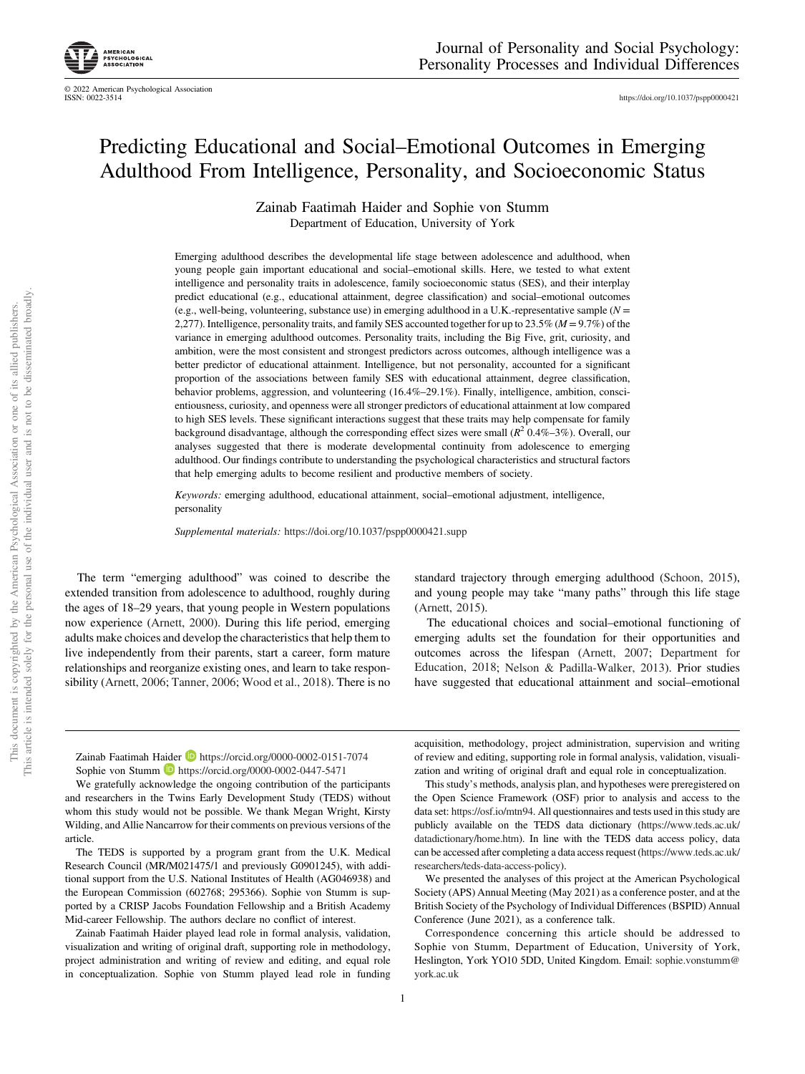https://doi.org/10.1037/pspp0000421

# Predicting Educational and Social–Emotional Outcomes in Emerging Adulthood From Intelligence, Personality, and Socioeconomic Status

Zainab Faatimah Haider and Sophie von Stumm Department of Education, University of York

Emerging adulthood describes the developmental life stage between adolescence and adulthood, when young people gain important educational and social–emotional skills. Here, we tested to what extent intelligence and personality traits in adolescence, family socioeconomic status (SES), and their interplay predict educational (e.g., educational attainment, degree classification) and social–emotional outcomes (e.g., well-being, volunteering, substance use) in emerging adulthood in a U.K.-representative sample ( $N =$ 2,277). Intelligence, personality traits, and family SES accounted together for up to 23.5% ( $M = 9.7$ %) of the variance in emerging adulthood outcomes. Personality traits, including the Big Five, grit, curiosity, and ambition, were the most consistent and strongest predictors across outcomes, although intelligence was a better predictor of educational attainment. Intelligence, but not personality, accounted for a significant proportion of the associations between family SES with educational attainment, degree classification, behavior problems, aggression, and volunteering (16.4%–29.1%). Finally, intelligence, ambition, conscientiousness, curiosity, and openness were all stronger predictors of educational attainment at low compared to high SES levels. These significant interactions suggest that these traits may help compensate for family background disadvantage, although the corresponding effect sizes were small ( $R^2$  0.4%–3%). Overall, our analyses suggested that there is moderate developmental continuity from adolescence to emerging adulthood. Our findings contribute to understanding the psychological characteristics and structural factors that help emerging adults to become resilient and productive members of society.

Keywords: emerging adulthood, educational attainment, social–emotional adjustment, intelligence, personality

Supplemental materials: https://doi.org/10.1037/pspp0000421.supp

The term "emerging adulthood" was coined to describe the extended transition from adolescence to adulthood, roughly during the ages of 18–29 years, that young people in Western populations now experience (Arnett, 2000). During this life period, emerging adults make choices and develop the characteristics that help them to live independently from their parents, start a career, form mature relationships and reorganize existing ones, and learn to take responsibility (Arnett, 2006; Tanner, 2006; Wood et al., 2018). There is no

standard trajectory through emerging adulthood (Schoon, 2015), and young people may take "many paths" through this life stage (Arnett, 2015).

The educational choices and social–emotional functioning of emerging adults set the foundation for their opportunities and outcomes across the lifespan (Arnett, 2007; Department for Education, 2018; Nelson & Padilla-Walker, 2013). Prior studies have suggested that educational attainment and social–emotional

Zainab Faatimah Haider D https://orcid.org/0000-0002-0151-7074 Sophie von Stumm **b** https://orcid.org/0000-0002-0447-5471

We gratefully acknowledge the ongoing contribution of the participants and researchers in the Twins Early Development Study (TEDS) without whom this study would not be possible. We thank Megan Wright, Kirsty Wilding, and Allie Nancarrow for their comments on previous versions of the article.

The TEDS is supported by a program grant from the U.K. Medical Research Council (MR/M021475/1 and previously G0901245), with additional support from the U.S. National Institutes of Health (AG046938) and the European Commission (602768; 295366). Sophie von Stumm is supported by a CRISP Jacobs Foundation Fellowship and a British Academy Mid-career Fellowship. The authors declare no conflict of interest.

Zainab Faatimah Haider played lead role in formal analysis, validation, visualization and writing of original draft, supporting role in methodology, project administration and writing of review and editing, and equal role in conceptualization. Sophie von Stumm played lead role in funding

acquisition, methodology, project administration, supervision and writing of review and editing, supporting role in formal analysis, validation, visualization and writing of original draft and equal role in conceptualization.

This study's methods, analysis plan, and hypotheses were preregistered on the Open Science Framework (OSF) prior to analysis and access to the data set: https://osf.io/mtn94. All questionnaires and tests used in this study are publicly available on the TEDS data dictionary (https://www.teds.ac.uk/ datadictionary/home.htm). In line with the TEDS data access policy, data can be accessed after completing a data access request (https://www.teds.ac.uk/ researchers/teds-data-access-policy).

We presented the analyses of this project at the American Psychological Society (APS) Annual Meeting (May 2021) as a conference poster, and at the British Society of the Psychology of Individual Differences (BSPID) Annual Conference (June 2021), as a conference talk.

Correspondence concerning this article should be addressed to Sophie von Stumm, Department of Education, University of York, Heslington, York YO10 5DD, United Kingdom. Email: sophie.vonstumm@ york.ac.uk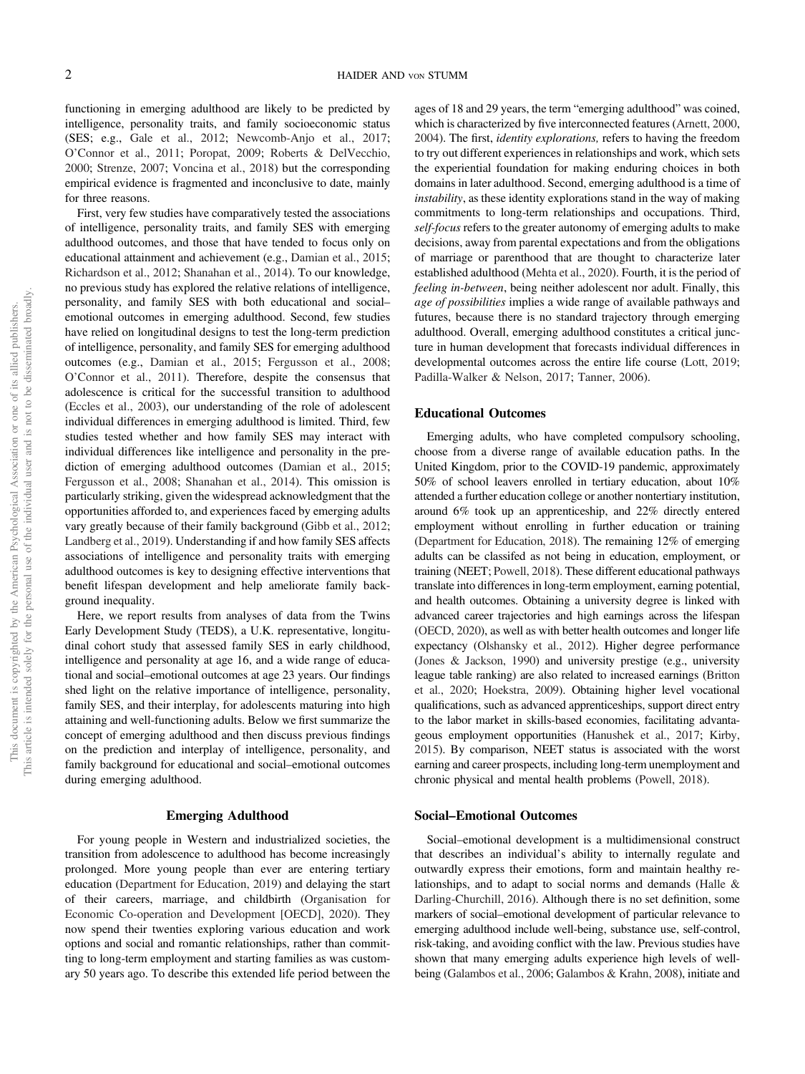functioning in emerging adulthood are likely to be predicted by intelligence, personality traits, and family socioeconomic status (SES; e.g., Gale et al., 2012; Newcomb-Anjo et al., 2017; O'Connor et al., 2011; Poropat, 2009; Roberts & DelVecchio, 2000; Strenze, 2007; Voncina et al., 2018) but the corresponding empirical evidence is fragmented and inconclusive to date, mainly for three reasons.

First, very few studies have comparatively tested the associations of intelligence, personality traits, and family SES with emerging adulthood outcomes, and those that have tended to focus only on educational attainment and achievement (e.g., Damian et al., 2015; Richardson et al., 2012; Shanahan et al., 2014). To our knowledge, no previous study has explored the relative relations of intelligence, personality, and family SES with both educational and social– emotional outcomes in emerging adulthood. Second, few studies have relied on longitudinal designs to test the long-term prediction of intelligence, personality, and family SES for emerging adulthood outcomes (e.g., Damian et al., 2015; Fergusson et al., 2008; O'Connor et al., 2011). Therefore, despite the consensus that adolescence is critical for the successful transition to adulthood (Eccles et al., 2003), our understanding of the role of adolescent individual differences in emerging adulthood is limited. Third, few studies tested whether and how family SES may interact with individual differences like intelligence and personality in the prediction of emerging adulthood outcomes (Damian et al., 2015; Fergusson et al., 2008; Shanahan et al., 2014). This omission is particularly striking, given the widespread acknowledgment that the opportunities afforded to, and experiences faced by emerging adults vary greatly because of their family background (Gibb et al., 2012; Landberg et al., 2019). Understanding if and how family SES affects associations of intelligence and personality traits with emerging adulthood outcomes is key to designing effective interventions that benefit lifespan development and help ameliorate family background inequality.

Here, we report results from analyses of data from the Twins Early Development Study (TEDS), a U.K. representative, longitudinal cohort study that assessed family SES in early childhood, intelligence and personality at age 16, and a wide range of educational and social–emotional outcomes at age 23 years. Our findings shed light on the relative importance of intelligence, personality, family SES, and their interplay, for adolescents maturing into high attaining and well-functioning adults. Below we first summarize the concept of emerging adulthood and then discuss previous findings on the prediction and interplay of intelligence, personality, and family background for educational and social–emotional outcomes during emerging adulthood.

## Emerging Adulthood

For young people in Western and industrialized societies, the transition from adolescence to adulthood has become increasingly prolonged. More young people than ever are entering tertiary education (Department for Education, 2019) and delaying the start of their careers, marriage, and childbirth (Organisation for Economic Co-operation and Development [OECD], 2020). They now spend their twenties exploring various education and work options and social and romantic relationships, rather than committing to long-term employment and starting families as was customary 50 years ago. To describe this extended life period between the ages of 18 and 29 years, the term "emerging adulthood" was coined, which is characterized by five interconnected features (Arnett, 2000, 2004). The first, identity explorations, refers to having the freedom to try out different experiences in relationships and work, which sets the experiential foundation for making enduring choices in both domains in later adulthood. Second, emerging adulthood is a time of instability, as these identity explorations stand in the way of making commitments to long-term relationships and occupations. Third, self-focus refers to the greater autonomy of emerging adults to make decisions, away from parental expectations and from the obligations of marriage or parenthood that are thought to characterize later established adulthood (Mehta et al., 2020). Fourth, it is the period of feeling in-between, being neither adolescent nor adult. Finally, this age of possibilities implies a wide range of available pathways and futures, because there is no standard trajectory through emerging adulthood. Overall, emerging adulthood constitutes a critical juncture in human development that forecasts individual differences in developmental outcomes across the entire life course (Lott, 2019; Padilla-Walker & Nelson, 2017; Tanner, 2006).

## Educational Outcomes

Emerging adults, who have completed compulsory schooling, choose from a diverse range of available education paths. In the United Kingdom, prior to the COVID-19 pandemic, approximately 50% of school leavers enrolled in tertiary education, about 10% attended a further education college or another nontertiary institution, around 6% took up an apprenticeship, and 22% directly entered employment without enrolling in further education or training (Department for Education, 2018). The remaining 12% of emerging adults can be classifed as not being in education, employment, or training (NEET; Powell, 2018). These different educational pathways translate into differences in long-term employment, earning potential, and health outcomes. Obtaining a university degree is linked with advanced career trajectories and high earnings across the lifespan (OECD, 2020), as well as with better health outcomes and longer life expectancy (Olshansky et al., 2012). Higher degree performance (Jones & Jackson, 1990) and university prestige (e.g., university league table ranking) are also related to increased earnings (Britton et al., 2020; Hoekstra, 2009). Obtaining higher level vocational qualifications, such as advanced apprenticeships, support direct entry to the labor market in skills-based economies, facilitating advantageous employment opportunities (Hanushek et al., 2017; Kirby, 2015). By comparison, NEET status is associated with the worst earning and career prospects, including long-term unemployment and chronic physical and mental health problems (Powell, 2018).

## Social–Emotional Outcomes

Social–emotional development is a multidimensional construct that describes an individual's ability to internally regulate and outwardly express their emotions, form and maintain healthy relationships, and to adapt to social norms and demands (Halle & Darling-Churchill, 2016). Although there is no set definition, some markers of social–emotional development of particular relevance to emerging adulthood include well-being, substance use, self-control, risk-taking, and avoiding conflict with the law. Previous studies have shown that many emerging adults experience high levels of wellbeing (Galambos et al., 2006; Galambos & Krahn, 2008), initiate and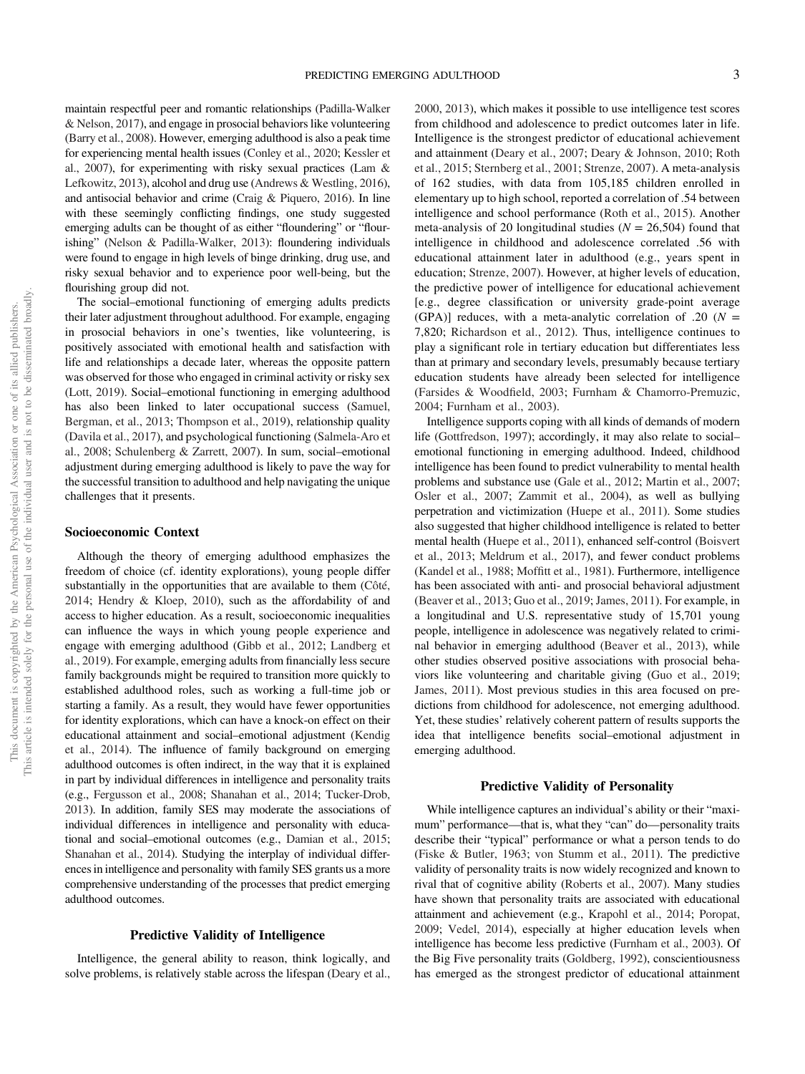maintain respectful peer and romantic relationships (Padilla-Walker & Nelson, 2017), and engage in prosocial behaviors like volunteering (Barry et al., 2008). However, emerging adulthood is also a peak time for experiencing mental health issues (Conley et al., 2020; Kessler et al., 2007), for experimenting with risky sexual practices (Lam & Lefkowitz, 2013), alcohol and drug use (Andrews & Westling, 2016), and antisocial behavior and crime (Craig & Piquero, 2016). In line with these seemingly conflicting findings, one study suggested emerging adults can be thought of as either "floundering" or "flourishing" (Nelson & Padilla-Walker, 2013): floundering individuals were found to engage in high levels of binge drinking, drug use, and risky sexual behavior and to experience poor well-being, but the flourishing group did not.

The social–emotional functioning of emerging adults predicts their later adjustment throughout adulthood. For example, engaging in prosocial behaviors in one's twenties, like volunteering, is positively associated with emotional health and satisfaction with life and relationships a decade later, whereas the opposite pattern was observed for those who engaged in criminal activity or risky sex (Lott, 2019). Social–emotional functioning in emerging adulthood has also been linked to later occupational success (Samuel, Bergman, et al., 2013; Thompson et al., 2019), relationship quality (Davila et al., 2017), and psychological functioning (Salmela-Aro et al., 2008; Schulenberg & Zarrett, 2007). In sum, social–emotional adjustment during emerging adulthood is likely to pave the way for the successful transition to adulthood and help navigating the unique challenges that it presents.

### Socioeconomic Context

Although the theory of emerging adulthood emphasizes the freedom of choice (cf. identity explorations), young people differ substantially in the opportunities that are available to them (Côté, 2014; Hendry & Kloep, 2010), such as the affordability of and access to higher education. As a result, socioeconomic inequalities can influence the ways in which young people experience and engage with emerging adulthood (Gibb et al., 2012; Landberg et al., 2019). For example, emerging adults from financially less secure family backgrounds might be required to transition more quickly to established adulthood roles, such as working a full-time job or starting a family. As a result, they would have fewer opportunities for identity explorations, which can have a knock-on effect on their educational attainment and social–emotional adjustment (Kendig et al., 2014). The influence of family background on emerging adulthood outcomes is often indirect, in the way that it is explained in part by individual differences in intelligence and personality traits (e.g., Fergusson et al., 2008; Shanahan et al., 2014; Tucker-Drob, 2013). In addition, family SES may moderate the associations of individual differences in intelligence and personality with educational and social–emotional outcomes (e.g., Damian et al., 2015; Shanahan et al., 2014). Studying the interplay of individual differences in intelligence and personality with family SES grants us a more comprehensive understanding of the processes that predict emerging adulthood outcomes.

## Predictive Validity of Intelligence

Intelligence, the general ability to reason, think logically, and solve problems, is relatively stable across the lifespan (Deary et al., 2000, 2013), which makes it possible to use intelligence test scores from childhood and adolescence to predict outcomes later in life. Intelligence is the strongest predictor of educational achievement and attainment (Deary et al., 2007; Deary & Johnson, 2010; Roth et al., 2015; Sternberg et al., 2001; Strenze, 2007). A meta-analysis of 162 studies, with data from 105,185 children enrolled in elementary up to high school, reported a correlation of .54 between intelligence and school performance (Roth et al., 2015). Another meta-analysis of 20 longitudinal studies ( $N = 26,504$ ) found that intelligence in childhood and adolescence correlated .56 with educational attainment later in adulthood (e.g., years spent in education; Strenze, 2007). However, at higher levels of education, the predictive power of intelligence for educational achievement [e.g., degree classification or university grade-point average (GPA)] reduces, with a meta-analytic correlation of .20 ( $N =$ 7,820; Richardson et al., 2012). Thus, intelligence continues to play a significant role in tertiary education but differentiates less than at primary and secondary levels, presumably because tertiary education students have already been selected for intelligence (Farsides & Woodfield, 2003; Furnham & Chamorro-Premuzic, 2004; Furnham et al., 2003).

Intelligence supports coping with all kinds of demands of modern life (Gottfredson, 1997); accordingly, it may also relate to social– emotional functioning in emerging adulthood. Indeed, childhood intelligence has been found to predict vulnerability to mental health problems and substance use (Gale et al., 2012; Martin et al., 2007; Osler et al., 2007; Zammit et al., 2004), as well as bullying perpetration and victimization (Huepe et al., 2011). Some studies also suggested that higher childhood intelligence is related to better mental health (Huepe et al., 2011), enhanced self-control (Boisvert et al., 2013; Meldrum et al., 2017), and fewer conduct problems (Kandel et al., 1988; Moffitt et al., 1981). Furthermore, intelligence has been associated with anti- and prosocial behavioral adjustment (Beaver et al., 2013; Guo et al., 2019; James, 2011). For example, in a longitudinal and U.S. representative study of 15,701 young people, intelligence in adolescence was negatively related to criminal behavior in emerging adulthood (Beaver et al., 2013), while other studies observed positive associations with prosocial behaviors like volunteering and charitable giving (Guo et al., 2019; James, 2011). Most previous studies in this area focused on predictions from childhood for adolescence, not emerging adulthood. Yet, these studies' relatively coherent pattern of results supports the idea that intelligence benefits social–emotional adjustment in emerging adulthood.

## Predictive Validity of Personality

While intelligence captures an individual's ability or their "maximum" performance—that is, what they "can" do—personality traits describe their "typical" performance or what a person tends to do (Fiske & Butler, 1963; von Stumm et al., 2011). The predictive validity of personality traits is now widely recognized and known to rival that of cognitive ability (Roberts et al., 2007). Many studies have shown that personality traits are associated with educational attainment and achievement (e.g., Krapohl et al., 2014; Poropat, 2009; Vedel, 2014), especially at higher education levels when intelligence has become less predictive (Furnham et al., 2003). Of the Big Five personality traits (Goldberg, 1992), conscientiousness has emerged as the strongest predictor of educational attainment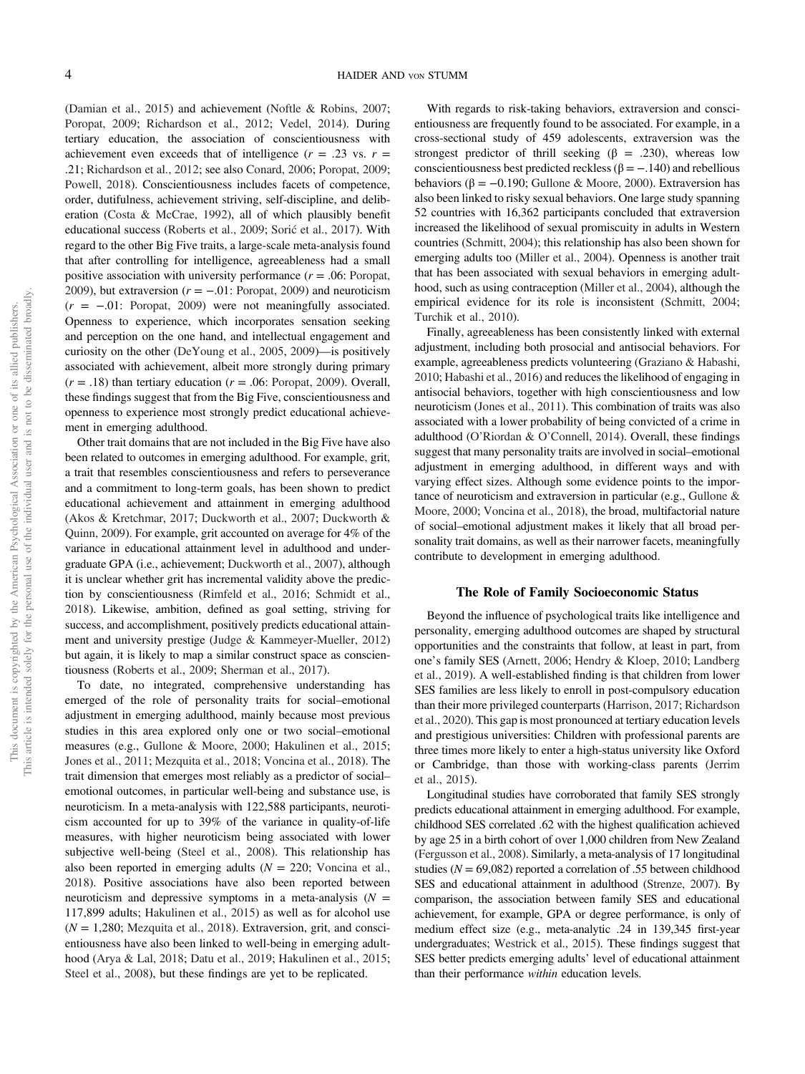(Damian et al., 2015) and achievement (Noftle & Robins, 2007; Poropat, 2009; Richardson et al., 2012; Vedel, 2014). During tertiary education, the association of conscientiousness with achievement even exceeds that of intelligence  $(r = .23 \text{ vs. } r = )$ .21; Richardson et al., 2012; see also Conard, 2006; Poropat, 2009; Powell, 2018). Conscientiousness includes facets of competence, order, dutifulness, achievement striving, self-discipline, and deliberation (Costa & McCrae, 1992), all of which plausibly benefit educational success (Roberts et al., 2009; Sorić et al., 2017). With regard to the other Big Five traits, a large-scale meta-analysis found that after controlling for intelligence, agreeableness had a small positive association with university performance  $(r = .06:$  Poropat, 2009), but extraversion ( $r = -.01$ : Poropat, 2009) and neuroticism  $(r = -01$ : Poropat, 2009) were not meaningfully associated. Openness to experience, which incorporates sensation seeking and perception on the one hand, and intellectual engagement and curiosity on the other (DeYoung et al., 2005, 2009)—is positively associated with achievement, albeit more strongly during primary  $(r = .18)$  than tertiary education  $(r = .06:$  Poropat, 2009). Overall, these findings suggest that from the Big Five, conscientiousness and openness to experience most strongly predict educational achievement in emerging adulthood.

Other trait domains that are not included in the Big Five have also been related to outcomes in emerging adulthood. For example, grit, a trait that resembles conscientiousness and refers to perseverance and a commitment to long-term goals, has been shown to predict educational achievement and attainment in emerging adulthood (Akos & Kretchmar, 2017; Duckworth et al., 2007; Duckworth & Quinn, 2009). For example, grit accounted on average for 4% of the variance in educational attainment level in adulthood and undergraduate GPA (i.e., achievement; Duckworth et al., 2007), although it is unclear whether grit has incremental validity above the prediction by conscientiousness (Rimfeld et al., 2016; Schmidt et al., 2018). Likewise, ambition, defined as goal setting, striving for success, and accomplishment, positively predicts educational attainment and university prestige (Judge & Kammeyer-Mueller, 2012) but again, it is likely to map a similar construct space as conscientiousness (Roberts et al., 2009; Sherman et al., 2017).

To date, no integrated, comprehensive understanding has emerged of the role of personality traits for social–emotional adjustment in emerging adulthood, mainly because most previous studies in this area explored only one or two social–emotional measures (e.g., Gullone & Moore, 2000; Hakulinen et al., 2015; Jones et al., 2011; Mezquita et al., 2018; Voncina et al., 2018). The trait dimension that emerges most reliably as a predictor of social– emotional outcomes, in particular well-being and substance use, is neuroticism. In a meta-analysis with 122,588 participants, neuroticism accounted for up to 39% of the variance in quality-of-life measures, with higher neuroticism being associated with lower subjective well-being (Steel et al., 2008). This relationship has also been reported in emerging adults ( $N = 220$ ; Voncina et al., 2018). Positive associations have also been reported between neuroticism and depressive symptoms in a meta-analysis  $(N =$ 117,899 adults; Hakulinen et al., 2015) as well as for alcohol use  $(N = 1,280;$  Mezquita et al., 2018). Extraversion, grit, and conscientiousness have also been linked to well-being in emerging adulthood (Arya & Lal, 2018; Datu et al., 2019; Hakulinen et al., 2015; Steel et al., 2008), but these findings are yet to be replicated.

With regards to risk-taking behaviors, extraversion and conscientiousness are frequently found to be associated. For example, in a cross-sectional study of 459 adolescents, extraversion was the strongest predictor of thrill seeking ( $\beta$  = .230), whereas low conscientiousness best predicted reckless ( $\beta = -0.140$ ) and rebellious behaviors ( $\beta = -0.190$ ; Gullone & Moore, 2000). Extraversion has also been linked to risky sexual behaviors. One large study spanning 52 countries with 16,362 participants concluded that extraversion increased the likelihood of sexual promiscuity in adults in Western countries (Schmitt, 2004); this relationship has also been shown for emerging adults too (Miller et al., 2004). Openness is another trait that has been associated with sexual behaviors in emerging adulthood, such as using contraception (Miller et al., 2004), although the empirical evidence for its role is inconsistent (Schmitt, 2004; Turchik et al., 2010).

Finally, agreeableness has been consistently linked with external adjustment, including both prosocial and antisocial behaviors. For example, agreeableness predicts volunteering (Graziano & Habashi, 2010; Habashi et al., 2016) and reduces the likelihood of engaging in antisocial behaviors, together with high conscientiousness and low neuroticism (Jones et al., 2011). This combination of traits was also associated with a lower probability of being convicted of a crime in adulthood (O'Riordan & O'Connell, 2014). Overall, these findings suggest that many personality traits are involved in social–emotional adjustment in emerging adulthood, in different ways and with varying effect sizes. Although some evidence points to the importance of neuroticism and extraversion in particular (e.g., Gullone & Moore, 2000; Voncina et al., 2018), the broad, multifactorial nature of social–emotional adjustment makes it likely that all broad personality trait domains, as well as their narrower facets, meaningfully contribute to development in emerging adulthood.

#### The Role of Family Socioeconomic Status

Beyond the influence of psychological traits like intelligence and personality, emerging adulthood outcomes are shaped by structural opportunities and the constraints that follow, at least in part, from one's family SES (Arnett, 2006; Hendry & Kloep, 2010; Landberg et al., 2019). A well-established finding is that children from lower SES families are less likely to enroll in post-compulsory education than their more privileged counterparts (Harrison, 2017; Richardson et al., 2020). This gap is most pronounced at tertiary education levels and prestigious universities: Children with professional parents are three times more likely to enter a high-status university like Oxford or Cambridge, than those with working-class parents (Jerrim et al., 2015).

Longitudinal studies have corroborated that family SES strongly predicts educational attainment in emerging adulthood. For example, childhood SES correlated .62 with the highest qualification achieved by age 25 in a birth cohort of over 1,000 children from New Zealand (Fergusson et al., 2008). Similarly, a meta-analysis of 17 longitudinal studies ( $N = 69,082$ ) reported a correlation of .55 between childhood SES and educational attainment in adulthood (Strenze, 2007). By comparison, the association between family SES and educational achievement, for example, GPA or degree performance, is only of medium effect size (e.g., meta-analytic .24 in 139,345 first-year undergraduates; Westrick et al., 2015). These findings suggest that SES better predicts emerging adults' level of educational attainment than their performance within education levels.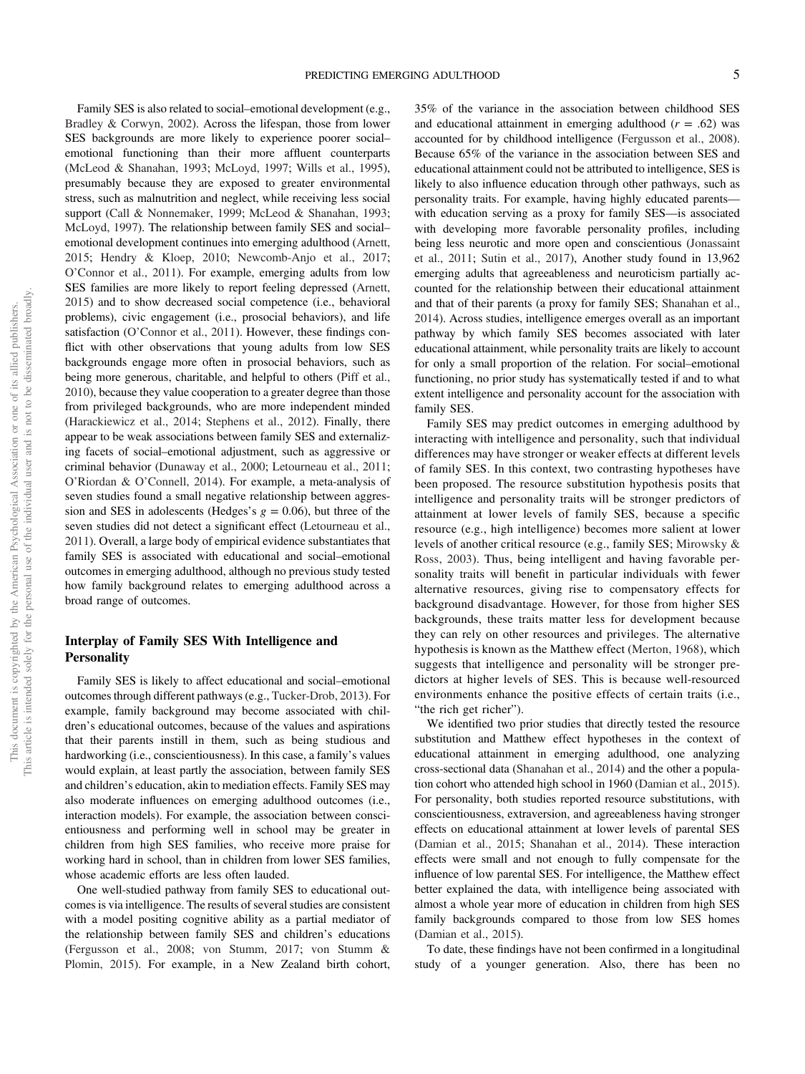Family SES is also related to social–emotional development (e.g., Bradley & Corwyn, 2002). Across the lifespan, those from lower SES backgrounds are more likely to experience poorer social– emotional functioning than their more affluent counterparts (McLeod & Shanahan, 1993; McLoyd, 1997; Wills et al., 1995), presumably because they are exposed to greater environmental stress, such as malnutrition and neglect, while receiving less social support (Call & Nonnemaker, 1999; McLeod & Shanahan, 1993; McLoyd, 1997). The relationship between family SES and social– emotional development continues into emerging adulthood (Arnett, 2015; Hendry & Kloep, 2010; Newcomb-Anjo et al., 2017; O'Connor et al., 2011). For example, emerging adults from low SES families are more likely to report feeling depressed (Arnett, 2015) and to show decreased social competence (i.e., behavioral problems), civic engagement (i.e., prosocial behaviors), and life satisfaction (O'Connor et al., 2011). However, these findings conflict with other observations that young adults from low SES backgrounds engage more often in prosocial behaviors, such as being more generous, charitable, and helpful to others (Piff et al., 2010), because they value cooperation to a greater degree than those from privileged backgrounds, who are more independent minded (Harackiewicz et al., 2014; Stephens et al., 2012). Finally, there appear to be weak associations between family SES and externalizing facets of social–emotional adjustment, such as aggressive or criminal behavior (Dunaway et al., 2000; Letourneau et al., 2011; O'Riordan & O'Connell, 2014). For example, a meta-analysis of seven studies found a small negative relationship between aggression and SES in adolescents (Hedges's  $g = 0.06$ ), but three of the seven studies did not detect a significant effect (Letourneau et al., 2011). Overall, a large body of empirical evidence substantiates that family SES is associated with educational and social–emotional outcomes in emerging adulthood, although no previous study tested how family background relates to emerging adulthood across a broad range of outcomes.

# Interplay of Family SES With Intelligence and **Personality**

Family SES is likely to affect educational and social–emotional outcomes through different pathways (e.g., Tucker-Drob, 2013). For example, family background may become associated with children's educational outcomes, because of the values and aspirations that their parents instill in them, such as being studious and hardworking (i.e., conscientiousness). In this case, a family's values would explain, at least partly the association, between family SES and children's education, akin to mediation effects. Family SES may also moderate influences on emerging adulthood outcomes (i.e., interaction models). For example, the association between conscientiousness and performing well in school may be greater in children from high SES families, who receive more praise for working hard in school, than in children from lower SES families, whose academic efforts are less often lauded.

One well-studied pathway from family SES to educational outcomes is via intelligence. The results of several studies are consistent with a model positing cognitive ability as a partial mediator of the relationship between family SES and children's educations (Fergusson et al., 2008; von Stumm, 2017; von Stumm & Plomin, 2015). For example, in a New Zealand birth cohort, 35% of the variance in the association between childhood SES and educational attainment in emerging adulthood  $(r = .62)$  was accounted for by childhood intelligence (Fergusson et al., 2008). Because 65% of the variance in the association between SES and educational attainment could not be attributed to intelligence, SES is likely to also influence education through other pathways, such as personality traits. For example, having highly educated parents with education serving as a proxy for family SES—is associated with developing more favorable personality profiles, including being less neurotic and more open and conscientious (Jonassaint et al., 2011; Sutin et al., 2017), Another study found in 13,962 emerging adults that agreeableness and neuroticism partially accounted for the relationship between their educational attainment and that of their parents (a proxy for family SES; Shanahan et al., 2014). Across studies, intelligence emerges overall as an important pathway by which family SES becomes associated with later educational attainment, while personality traits are likely to account for only a small proportion of the relation. For social–emotional functioning, no prior study has systematically tested if and to what extent intelligence and personality account for the association with family SES.

Family SES may predict outcomes in emerging adulthood by interacting with intelligence and personality, such that individual differences may have stronger or weaker effects at different levels of family SES. In this context, two contrasting hypotheses have been proposed. The resource substitution hypothesis posits that intelligence and personality traits will be stronger predictors of attainment at lower levels of family SES, because a specific resource (e.g., high intelligence) becomes more salient at lower levels of another critical resource (e.g., family SES; Mirowsky & Ross, 2003). Thus, being intelligent and having favorable personality traits will benefit in particular individuals with fewer alternative resources, giving rise to compensatory effects for background disadvantage. However, for those from higher SES backgrounds, these traits matter less for development because they can rely on other resources and privileges. The alternative hypothesis is known as the Matthew effect (Merton, 1968), which suggests that intelligence and personality will be stronger predictors at higher levels of SES. This is because well-resourced environments enhance the positive effects of certain traits (i.e., "the rich get richer").

We identified two prior studies that directly tested the resource substitution and Matthew effect hypotheses in the context of educational attainment in emerging adulthood, one analyzing cross-sectional data (Shanahan et al., 2014) and the other a population cohort who attended high school in 1960 (Damian et al., 2015). For personality, both studies reported resource substitutions, with conscientiousness, extraversion, and agreeableness having stronger effects on educational attainment at lower levels of parental SES (Damian et al., 2015; Shanahan et al., 2014). These interaction effects were small and not enough to fully compensate for the influence of low parental SES. For intelligence, the Matthew effect better explained the data, with intelligence being associated with almost a whole year more of education in children from high SES family backgrounds compared to those from low SES homes (Damian et al., 2015).

To date, these findings have not been confirmed in a longitudinal study of a younger generation. Also, there has been no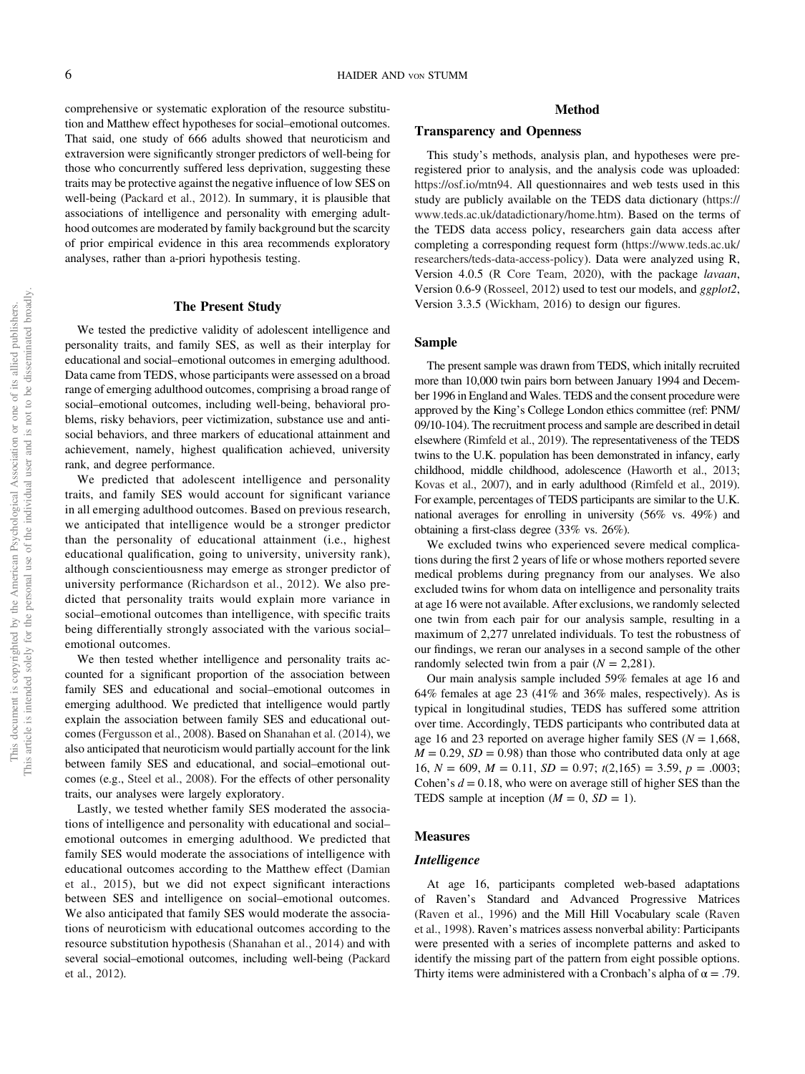comprehensive or systematic exploration of the resource substitution and Matthew effect hypotheses for social–emotional outcomes. That said, one study of 666 adults showed that neuroticism and extraversion were significantly stronger predictors of well-being for those who concurrently suffered less deprivation, suggesting these traits may be protective against the negative influence of low SES on well-being (Packard et al., 2012). In summary, it is plausible that associations of intelligence and personality with emerging adulthood outcomes are moderated by family background but the scarcity of prior empirical evidence in this area recommends exploratory analyses, rather than a-priori hypothesis testing.

## The Present Study

We tested the predictive validity of adolescent intelligence and personality traits, and family SES, as well as their interplay for educational and social–emotional outcomes in emerging adulthood. Data came from TEDS, whose participants were assessed on a broad range of emerging adulthood outcomes, comprising a broad range of social–emotional outcomes, including well-being, behavioral problems, risky behaviors, peer victimization, substance use and antisocial behaviors, and three markers of educational attainment and achievement, namely, highest qualification achieved, university rank, and degree performance.

We predicted that adolescent intelligence and personality traits, and family SES would account for significant variance in all emerging adulthood outcomes. Based on previous research, we anticipated that intelligence would be a stronger predictor than the personality of educational attainment (i.e., highest educational qualification, going to university, university rank), although conscientiousness may emerge as stronger predictor of university performance (Richardson et al., 2012). We also predicted that personality traits would explain more variance in social–emotional outcomes than intelligence, with specific traits being differentially strongly associated with the various social– emotional outcomes.

We then tested whether intelligence and personality traits accounted for a significant proportion of the association between family SES and educational and social–emotional outcomes in emerging adulthood. We predicted that intelligence would partly explain the association between family SES and educational outcomes (Fergusson et al., 2008). Based on Shanahan et al. (2014), we also anticipated that neuroticism would partially account for the link between family SES and educational, and social–emotional outcomes (e.g., Steel et al., 2008). For the effects of other personality traits, our analyses were largely exploratory.

Lastly, we tested whether family SES moderated the associations of intelligence and personality with educational and social– emotional outcomes in emerging adulthood. We predicted that family SES would moderate the associations of intelligence with educational outcomes according to the Matthew effect (Damian et al., 2015), but we did not expect significant interactions between SES and intelligence on social–emotional outcomes. We also anticipated that family SES would moderate the associations of neuroticism with educational outcomes according to the resource substitution hypothesis (Shanahan et al., 2014) and with several social–emotional outcomes, including well-being (Packard et al., 2012).

## Method

## Transparency and Openness

This study's methods, analysis plan, and hypotheses were preregistered prior to analysis, and the analysis code was uploaded: https://osf.io/mtn94. All questionnaires and web tests used in this study are publicly available on the TEDS data dictionary (https:// www.teds.ac.uk/datadictionary/home.htm). Based on the terms of the TEDS data access policy, researchers gain data access after completing a corresponding request form (https://www.teds.ac.uk/ researchers/teds-data-access-policy). Data were analyzed using R, Version 4.0.5 (R Core Team, 2020), with the package lavaan, Version 0.6-9 (Rosseel, 2012) used to test our models, and ggplot2, Version 3.3.5 (Wickham, 2016) to design our figures.

#### Sample

The present sample was drawn from TEDS, which initally recruited more than 10,000 twin pairs born between January 1994 and December 1996 in England and Wales. TEDS and the consent procedure were approved by the King's College London ethics committee (ref: PNM/ 09/10-104). The recruitment process and sample are described in detail elsewhere (Rimfeld et al., 2019). The representativeness of the TEDS twins to the U.K. population has been demonstrated in infancy, early childhood, middle childhood, adolescence (Haworth et al., 2013; Kovas et al., 2007), and in early adulthood (Rimfeld et al., 2019). For example, percentages of TEDS participants are similar to the U.K. national averages for enrolling in university (56% vs. 49%) and obtaining a first-class degree (33% vs. 26%).

We excluded twins who experienced severe medical complications during the first 2 years of life or whose mothers reported severe medical problems during pregnancy from our analyses. We also excluded twins for whom data on intelligence and personality traits at age 16 were not available. After exclusions, we randomly selected one twin from each pair for our analysis sample, resulting in a maximum of 2,277 unrelated individuals. To test the robustness of our findings, we reran our analyses in a second sample of the other randomly selected twin from a pair  $(N = 2,281)$ .

Our main analysis sample included 59% females at age 16 and 64% females at age 23 (41% and 36% males, respectively). As is typical in longitudinal studies, TEDS has suffered some attrition over time. Accordingly, TEDS participants who contributed data at age 16 and 23 reported on average higher family SES ( $N = 1,668$ ,  $M = 0.29$ ,  $SD = 0.98$ ) than those who contributed data only at age 16,  $N = 609$ ,  $M = 0.11$ ,  $SD = 0.97$ ;  $t(2,165) = 3.59$ ,  $p = .0003$ ; Cohen's  $d = 0.18$ , who were on average still of higher SES than the TEDS sample at inception  $(M = 0, SD = 1)$ .

### Measures

#### **Intelligence**

At age 16, participants completed web-based adaptations of Raven's Standard and Advanced Progressive Matrices (Raven et al., 1996) and the Mill Hill Vocabulary scale (Raven et al., 1998). Raven's matrices assess nonverbal ability: Participants were presented with a series of incomplete patterns and asked to identify the missing part of the pattern from eight possible options. Thirty items were administered with a Cronbach's alpha of  $\alpha = .79$ .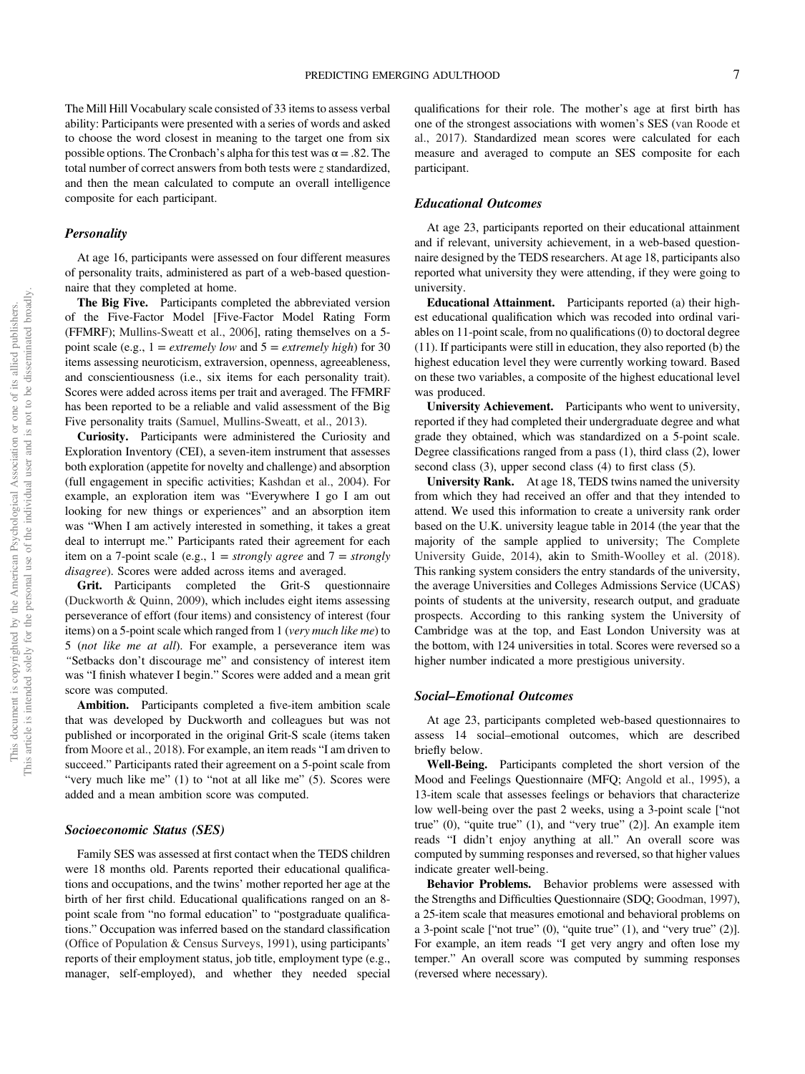The Mill Hill Vocabulary scale consisted of 33 items to assess verbal ability: Participants were presented with a series of words and asked to choose the word closest in meaning to the target one from six possible options. The Cronbach's alpha for this test was  $\alpha = .82$ . The total number of correct answers from both tests were z standardized, and then the mean calculated to compute an overall intelligence composite for each participant.

#### **Personality**

At age 16, participants were assessed on four different measures of personality traits, administered as part of a web-based questionnaire that they completed at home.

The Big Five. Participants completed the abbreviated version of the Five-Factor Model [Five-Factor Model Rating Form (FFMRF); Mullins-Sweatt et al., 2006], rating themselves on a 5 point scale (e.g.,  $1 =$  *extremely low* and  $5 =$  *extremely high*) for 30 items assessing neuroticism, extraversion, openness, agreeableness, and conscientiousness (i.e., six items for each personality trait). Scores were added across items per trait and averaged. The FFMRF has been reported to be a reliable and valid assessment of the Big Five personality traits (Samuel, Mullins-Sweatt, et al., 2013).

Curiosity. Participants were administered the Curiosity and Exploration Inventory (CEI), a seven-item instrument that assesses both exploration (appetite for novelty and challenge) and absorption (full engagement in specific activities; Kashdan et al., 2004). For example, an exploration item was "Everywhere I go I am out looking for new things or experiences" and an absorption item was "When I am actively interested in something, it takes a great deal to interrupt me." Participants rated their agreement for each item on a 7-point scale (e.g.,  $1 = strongly$  agree and  $7 = strongly$ disagree). Scores were added across items and averaged.

Grit. Participants completed the Grit-S questionnaire (Duckworth & Quinn, 2009), which includes eight items assessing perseverance of effort (four items) and consistency of interest (four items) on a 5-point scale which ranged from 1 (very much like me) to 5 (not like me at all). For example, a perseverance item was "Setbacks don't discourage me" and consistency of interest item was "I finish whatever I begin." Scores were added and a mean grit score was computed.

Ambition. Participants completed a five-item ambition scale that was developed by Duckworth and colleagues but was not published or incorporated in the original Grit-S scale (items taken from Moore et al., 2018). For example, an item reads "I am driven to succeed." Participants rated their agreement on a 5-point scale from "very much like me" (1) to "not at all like me" (5). Scores were added and a mean ambition score was computed.

#### Socioeconomic Status (SES)

Family SES was assessed at first contact when the TEDS children were 18 months old. Parents reported their educational qualifications and occupations, and the twins' mother reported her age at the birth of her first child. Educational qualifications ranged on an 8 point scale from "no formal education" to "postgraduate qualifications." Occupation was inferred based on the standard classification (Office of Population & Census Surveys, 1991), using participants' reports of their employment status, job title, employment type (e.g., manager, self-employed), and whether they needed special qualifications for their role. The mother's age at first birth has one of the strongest associations with women's SES (van Roode et al., 2017). Standardized mean scores were calculated for each measure and averaged to compute an SES composite for each participant.

## Educational Outcomes

At age 23, participants reported on their educational attainment and if relevant, university achievement, in a web-based questionnaire designed by the TEDS researchers. At age 18, participants also reported what university they were attending, if they were going to university.

Educational Attainment. Participants reported (a) their highest educational qualification which was recoded into ordinal variables on 11-point scale, from no qualifications (0) to doctoral degree (11). If participants were still in education, they also reported (b) the highest education level they were currently working toward. Based on these two variables, a composite of the highest educational level was produced.

University Achievement. Participants who went to university, reported if they had completed their undergraduate degree and what grade they obtained, which was standardized on a 5-point scale. Degree classifications ranged from a pass (1), third class (2), lower second class (3), upper second class (4) to first class (5).

University Rank. At age 18, TEDS twins named the university from which they had received an offer and that they intended to attend. We used this information to create a university rank order based on the U.K. university league table in 2014 (the year that the majority of the sample applied to university; The Complete University Guide, 2014), akin to Smith-Woolley et al. (2018). This ranking system considers the entry standards of the university, the average Universities and Colleges Admissions Service (UCAS) points of students at the university, research output, and graduate prospects. According to this ranking system the University of Cambridge was at the top, and East London University was at the bottom, with 124 universities in total. Scores were reversed so a higher number indicated a more prestigious university.

## Social–Emotional Outcomes

At age 23, participants completed web-based questionnaires to assess 14 social–emotional outcomes, which are described briefly below.

Well-Being. Participants completed the short version of the Mood and Feelings Questionnaire (MFQ; Angold et al., 1995), a 13-item scale that assesses feelings or behaviors that characterize low well-being over the past 2 weeks, using a 3-point scale ["not true" (0), "quite true" (1), and "very true" (2)]. An example item reads "I didn't enjoy anything at all." An overall score was computed by summing responses and reversed, so that higher values indicate greater well-being.

Behavior Problems. Behavior problems were assessed with the Strengths and Difficulties Questionnaire (SDQ; Goodman, 1997), a 25-item scale that measures emotional and behavioral problems on a 3-point scale  $[$ "not true"  $(0)$ , "quite true"  $(1)$ , and "very true"  $(2)$ ]. For example, an item reads "I get very angry and often lose my temper." An overall score was computed by summing responses (reversed where necessary).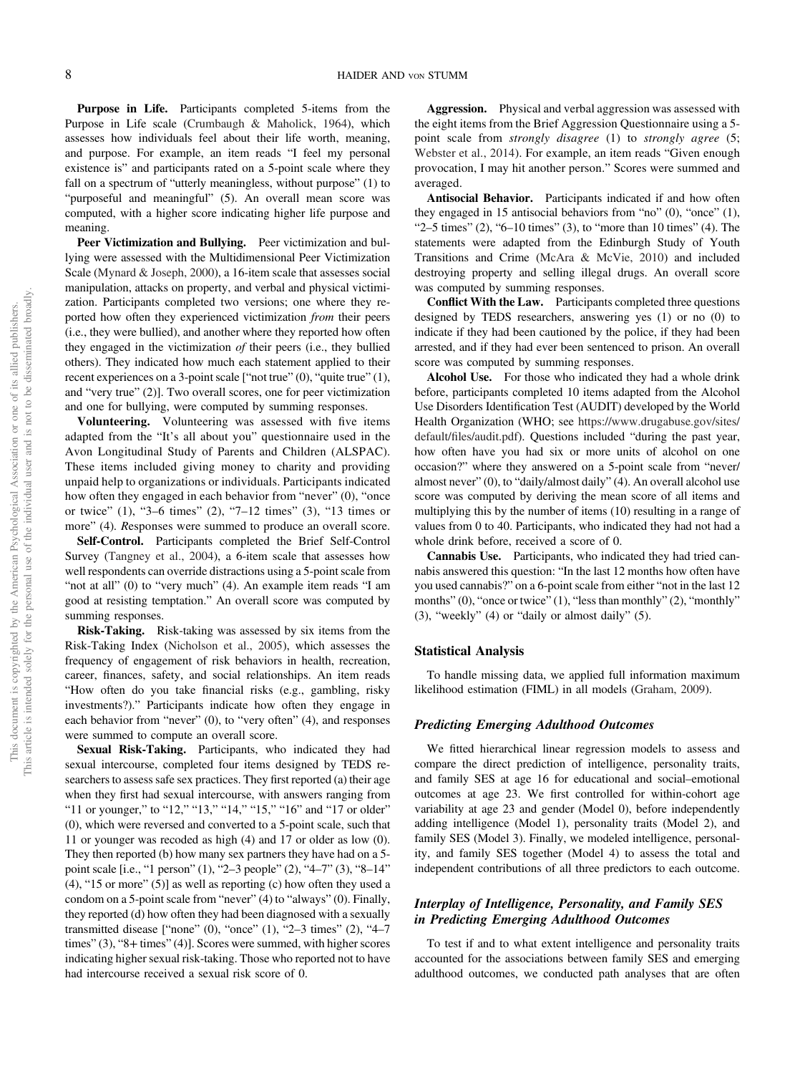Purpose in Life. Participants completed 5-items from the Purpose in Life scale (Crumbaugh & Maholick, 1964), which assesses how individuals feel about their life worth, meaning, and purpose. For example, an item reads "I feel my personal existence is" and participants rated on a 5-point scale where they fall on a spectrum of "utterly meaningless, without purpose" (1) to "purposeful and meaningful" (5). An overall mean score was computed, with a higher score indicating higher life purpose and meaning.

Peer Victimization and Bullying. Peer victimization and bullying were assessed with the Multidimensional Peer Victimization Scale (Mynard & Joseph, 2000), a 16-item scale that assesses social manipulation, attacks on property, and verbal and physical victimization. Participants completed two versions; one where they reported how often they experienced victimization from their peers (i.e., they were bullied), and another where they reported how often they engaged in the victimization of their peers (i.e., they bullied others). They indicated how much each statement applied to their recent experiences on a 3-point scale ["not true" (0), "quite true" (1), and "very true" (2)]. Two overall scores, one for peer victimization and one for bullying, were computed by summing responses.

Volunteering. Volunteering was assessed with five items adapted from the "It's all about you" questionnaire used in the Avon Longitudinal Study of Parents and Children (ALSPAC). These items included giving money to charity and providing unpaid help to organizations or individuals. Participants indicated how often they engaged in each behavior from "never" (0), "once or twice" (1), "3–6 times" (2), "7–12 times" (3), "13 times or more" (4). Responses were summed to produce an overall score.

Self-Control. Participants completed the Brief Self-Control Survey (Tangney et al., 2004), a 6-item scale that assesses how well respondents can override distractions using a 5-point scale from "not at all" (0) to "very much" (4). An example item reads "I am good at resisting temptation." An overall score was computed by summing responses.

Risk-Taking. Risk-taking was assessed by six items from the Risk-Taking Index (Nicholson et al., 2005), which assesses the frequency of engagement of risk behaviors in health, recreation, career, finances, safety, and social relationships. An item reads "How often do you take financial risks (e.g., gambling, risky investments?)." Participants indicate how often they engage in each behavior from "never" (0), to "very often" (4), and responses were summed to compute an overall score.

Sexual Risk-Taking. Participants, who indicated they had sexual intercourse, completed four items designed by TEDS researchers to assess safe sex practices. They first reported (a) their age when they first had sexual intercourse, with answers ranging from "11 or younger," to "12," "13," "14," "15," "16" and "17 or older" (0), which were reversed and converted to a 5-point scale, such that 11 or younger was recoded as high (4) and 17 or older as low (0). They then reported (b) how many sex partners they have had on a 5 point scale [i.e., "1 person" (1), "2–3 people" (2), "4–7" (3), "8–14" (4), "15 or more" (5)] as well as reporting (c) how often they used a condom on a 5-point scale from "never" (4) to "always" (0). Finally, they reported (d) how often they had been diagnosed with a sexually transmitted disease ["none" (0), "once" (1), "2–3 times" (2), "4–7 times" (3), "8+ times" (4)]. Scores were summed, with higher scores indicating higher sexual risk-taking. Those who reported not to have had intercourse received a sexual risk score of 0.

Aggression. Physical and verbal aggression was assessed with the eight items from the Brief Aggression Questionnaire using a 5 point scale from *strongly disagree* (1) to *strongly agree* (5; Webster et al., 2014). For example, an item reads "Given enough provocation, I may hit another person." Scores were summed and averaged.

Antisocial Behavior. Participants indicated if and how often they engaged in 15 antisocial behaviors from "no" (0), "once" (1), " $2-5$  times" (2), " $6-10$  times" (3), to "more than 10 times" (4). The statements were adapted from the Edinburgh Study of Youth Transitions and Crime (McAra & McVie, 2010) and included destroying property and selling illegal drugs. An overall score was computed by summing responses.

Conflict With the Law. Participants completed three questions designed by TEDS researchers, answering yes (1) or no (0) to indicate if they had been cautioned by the police, if they had been arrested, and if they had ever been sentenced to prison. An overall score was computed by summing responses.

Alcohol Use. For those who indicated they had a whole drink before, participants completed 10 items adapted from the Alcohol Use Disorders Identification Test (AUDIT) developed by the World Health Organization (WHO; see https://www.drugabuse.gov/sites/ default/files/audit.pdf). Questions included "during the past year, how often have you had six or more units of alcohol on one occasion?" where they answered on a 5-point scale from "never/ almost never" (0), to "daily/almost daily" (4). An overall alcohol use score was computed by deriving the mean score of all items and multiplying this by the number of items (10) resulting in a range of values from 0 to 40. Participants, who indicated they had not had a whole drink before, received a score of 0.

Cannabis Use. Participants, who indicated they had tried cannabis answered this question: "In the last 12 months how often have you used cannabis?" on a 6-point scale from either "not in the last 12 months" (0), "once or twice" (1), "less than monthly" (2), "monthly" (3), "weekly" (4) or "daily or almost daily" (5).

## Statistical Analysis

To handle missing data, we applied full information maximum likelihood estimation (FIML) in all models (Graham, 2009).

## Predicting Emerging Adulthood Outcomes

We fitted hierarchical linear regression models to assess and compare the direct prediction of intelligence, personality traits, and family SES at age 16 for educational and social–emotional outcomes at age 23. We first controlled for within-cohort age variability at age 23 and gender (Model 0), before independently adding intelligence (Model 1), personality traits (Model 2), and family SES (Model 3). Finally, we modeled intelligence, personality, and family SES together (Model 4) to assess the total and independent contributions of all three predictors to each outcome.

# Interplay of Intelligence, Personality, and Family SES in Predicting Emerging Adulthood Outcomes

To test if and to what extent intelligence and personality traits accounted for the associations between family SES and emerging adulthood outcomes, we conducted path analyses that are often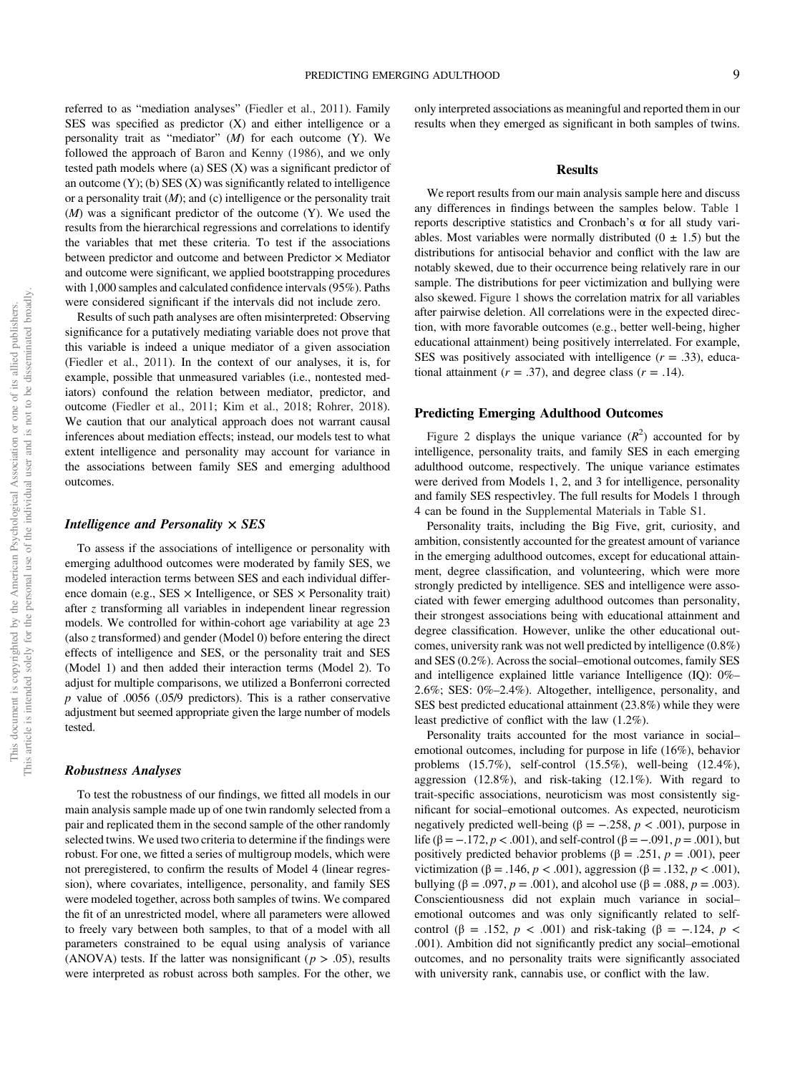referred to as "mediation analyses" (Fiedler et al., 2011). Family SES was specified as predictor (X) and either intelligence or a personality trait as "mediator"  $(M)$  for each outcome  $(Y)$ . We followed the approach of Baron and Kenny (1986), and we only tested path models where (a) SES (X) was a significant predictor of an outcome  $(Y)$ ; (b) SES  $(X)$  was significantly related to intelligence or a personality trait  $(M)$ ; and  $(c)$  intelligence or the personality trait  $(M)$  was a significant predictor of the outcome  $(Y)$ . We used the results from the hierarchical regressions and correlations to identify the variables that met these criteria. To test if the associations between predictor and outcome and between Predictor  $\times$  Mediator and outcome were significant, we applied bootstrapping procedures with 1,000 samples and calculated confidence intervals (95%). Paths were considered significant if the intervals did not include zero.

Results of such path analyses are often misinterpreted: Observing significance for a putatively mediating variable does not prove that this variable is indeed a unique mediator of a given association (Fiedler et al., 2011). In the context of our analyses, it is, for example, possible that unmeasured variables (i.e., nontested mediators) confound the relation between mediator, predictor, and outcome (Fiedler et al., 2011; Kim et al., 2018; Rohrer, 2018). We caution that our analytical approach does not warrant causal inferences about mediation effects; instead, our models test to what extent intelligence and personality may account for variance in the associations between family SES and emerging adulthood outcomes.

## Intelligence and Personality  $\times$  SES

To assess if the associations of intelligence or personality with emerging adulthood outcomes were moderated by family SES, we modeled interaction terms between SES and each individual difference domain (e.g.,  $SES \times$  Intelligence, or  $SES \times$  Personality trait) after z transforming all variables in independent linear regression models. We controlled for within-cohort age variability at age 23 (also z transformed) and gender (Model 0) before entering the direct effects of intelligence and SES, or the personality trait and SES (Model 1) and then added their interaction terms (Model 2). To adjust for multiple comparisons, we utilized a Bonferroni corrected  $p$  value of .0056 (.05/9 predictors). This is a rather conservative adjustment but seemed appropriate given the large number of models tested.

#### Robustness Analyses

To test the robustness of our findings, we fitted all models in our main analysis sample made up of one twin randomly selected from a pair and replicated them in the second sample of the other randomly selected twins. We used two criteria to determine if the findings were robust. For one, we fitted a series of multigroup models, which were not preregistered, to confirm the results of Model 4 (linear regression), where covariates, intelligence, personality, and family SES were modeled together, across both samples of twins. We compared the fit of an unrestricted model, where all parameters were allowed to freely vary between both samples, to that of a model with all parameters constrained to be equal using analysis of variance (ANOVA) tests. If the latter was nonsignificant ( $p > .05$ ), results were interpreted as robust across both samples. For the other, we only interpreted associations as meaningful and reported them in our results when they emerged as significant in both samples of twins.

#### Results

We report results from our main analysis sample here and discuss any differences in findings between the samples below. Table 1 reports descriptive statistics and Cronbach's α for all study variables. Most variables were normally distributed  $(0 \pm 1.5)$  but the distributions for antisocial behavior and conflict with the law are notably skewed, due to their occurrence being relatively rare in our sample. The distributions for peer victimization and bullying were also skewed. Figure 1 shows the correlation matrix for all variables after pairwise deletion. All correlations were in the expected direction, with more favorable outcomes (e.g., better well-being, higher educational attainment) being positively interrelated. For example, SES was positively associated with intelligence  $(r = .33)$ , educational attainment ( $r = .37$ ), and degree class ( $r = .14$ ).

#### Predicting Emerging Adulthood Outcomes

Figure 2 displays the unique variance  $(R^2)$  accounted for by intelligence, personality traits, and family SES in each emerging adulthood outcome, respectively. The unique variance estimates were derived from Models 1, 2, and 3 for intelligence, personality and family SES respectivley. The full results for Models 1 through 4 can be found in the Supplemental Materials in Table S1.

Personality traits, including the Big Five, grit, curiosity, and ambition, consistently accounted for the greatest amount of variance in the emerging adulthood outcomes, except for educational attainment, degree classification, and volunteering, which were more strongly predicted by intelligence. SES and intelligence were associated with fewer emerging adulthood outcomes than personality, their strongest associations being with educational attainment and degree classification. However, unlike the other educational outcomes, university rank was not well predicted by intelligence (0.8%) and SES (0.2%). Across the social–emotional outcomes, family SES and intelligence explained little variance Intelligence (IQ): 0%– 2.6%; SES: 0%–2.4%). Altogether, intelligence, personality, and SES best predicted educational attainment (23.8%) while they were least predictive of conflict with the law (1.2%).

Personality traits accounted for the most variance in social– emotional outcomes, including for purpose in life (16%), behavior problems (15.7%), self-control (15.5%), well-being (12.4%), aggression (12.8%), and risk-taking (12.1%). With regard to trait-specific associations, neuroticism was most consistently significant for social–emotional outcomes. As expected, neuroticism negatively predicted well-being (β =  $-.258, p < .001$ ), purpose in life ( $\beta = -.172, p < .001$ ), and self-control ( $\beta = -.091, p = .001$ ), but positively predicted behavior problems (β = .251,  $p = .001$ ), peer victimization (β = .146,  $p < .001$ ), aggression (β = .132,  $p < .001$ ), bullying ( $\beta = .097$ ,  $p = .001$ ), and alcohol use ( $\beta = .088$ ,  $p = .003$ ). Conscientiousness did not explain much variance in social– emotional outcomes and was only significantly related to selfcontrol ( $\beta$  = .152,  $p < .001$ ) and risk-taking ( $\beta$  = -.124,  $p <$ .001). Ambition did not significantly predict any social–emotional outcomes, and no personality traits were significantly associated with university rank, cannabis use, or conflict with the law.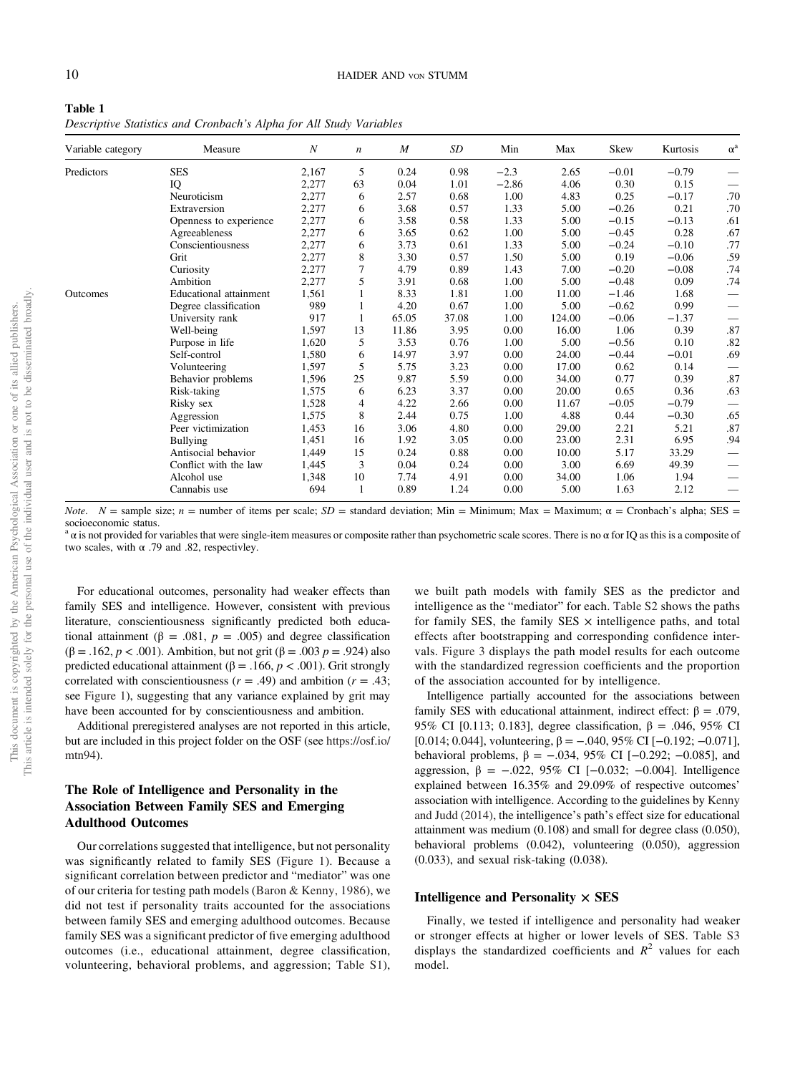| Table 1                                                             |  |
|---------------------------------------------------------------------|--|
| Descriptive Statistics and Cronbach's Alpha for All Study Variables |  |

| Variable category | Measure                       | $\boldsymbol{N}$ | $\boldsymbol{n}$ | $\boldsymbol{M}$ | SD    | Min     | Max    | Skew    | Kurtosis | $\alpha^a$ |
|-------------------|-------------------------------|------------------|------------------|------------------|-------|---------|--------|---------|----------|------------|
| Predictors        | <b>SES</b>                    | 2,167            | 5                | 0.24             | 0.98  | $-2.3$  | 2.65   | $-0.01$ | $-0.79$  |            |
|                   | IQ                            | 2,277            | 63               | 0.04             | 1.01  | $-2.86$ | 4.06   | 0.30    | 0.15     |            |
|                   | Neuroticism                   | 2,277            | 6                | 2.57             | 0.68  | 1.00    | 4.83   | 0.25    | $-0.17$  | .70        |
|                   | Extraversion                  | 2,277            | 6                | 3.68             | 0.57  | 1.33    | 5.00   | $-0.26$ | 0.21     | .70        |
|                   | Openness to experience        | 2,277            | 6                | 3.58             | 0.58  | 1.33    | 5.00   | $-0.15$ | $-0.13$  | .61        |
|                   | Agreeableness                 | 2,277            | 6                | 3.65             | 0.62  | 1.00    | 5.00   | $-0.45$ | 0.28     | .67        |
|                   | Conscientiousness             | 2,277            | 6                | 3.73             | 0.61  | 1.33    | 5.00   | $-0.24$ | $-0.10$  | .77        |
|                   | Grit                          | 2,277            | 8                | 3.30             | 0.57  | 1.50    | 5.00   | 0.19    | $-0.06$  | .59        |
|                   | Curiosity                     | 2,277            | 7                | 4.79             | 0.89  | 1.43    | 7.00   | $-0.20$ | $-0.08$  | .74        |
|                   | Ambition                      | 2,277            | 5                | 3.91             | 0.68  | 1.00    | 5.00   | $-0.48$ | 0.09     | .74        |
| Outcomes          | <b>Educational attainment</b> | 1,561            |                  | 8.33             | 1.81  | 1.00    | 11.00  | $-1.46$ | 1.68     |            |
|                   | Degree classification         | 989              |                  | 4.20             | 0.67  | 1.00    | 5.00   | $-0.62$ | 0.99     |            |
|                   | University rank               | 917              |                  | 65.05            | 37.08 | 1.00    | 124.00 | $-0.06$ | $-1.37$  |            |
|                   | Well-being                    | 1,597            | 13               | 11.86            | 3.95  | 0.00    | 16.00  | 1.06    | 0.39     | .87        |
|                   | Purpose in life               | 1,620            | 5                | 3.53             | 0.76  | 1.00    | 5.00   | $-0.56$ | 0.10     | .82        |
|                   | Self-control                  | 1,580            | 6                | 14.97            | 3.97  | 0.00    | 24.00  | $-0.44$ | $-0.01$  | .69        |
|                   | Volunteering                  | 1,597            | 5                | 5.75             | 3.23  | 0.00    | 17.00  | 0.62    | 0.14     |            |
|                   | Behavior problems             | 1,596            | 25               | 9.87             | 5.59  | 0.00    | 34.00  | 0.77    | 0.39     | .87        |
|                   | Risk-taking                   | 1,575            | 6                | 6.23             | 3.37  | 0.00    | 20.00  | 0.65    | 0.36     | .63        |
|                   | Risky sex                     | 1,528            | 4                | 4.22             | 2.66  | 0.00    | 11.67  | $-0.05$ | $-0.79$  |            |
|                   | Aggression                    | 1,575            | 8                | 2.44             | 0.75  | 1.00    | 4.88   | 0.44    | $-0.30$  | .65        |
|                   | Peer victimization            | 1,453            | 16               | 3.06             | 4.80  | 0.00    | 29.00  | 2.21    | 5.21     | .87        |
|                   | Bullying                      | 1,451            | 16               | 1.92             | 3.05  | 0.00    | 23.00  | 2.31    | 6.95     | .94        |
|                   | Antisocial behavior           | 1,449            | 15               | 0.24             | 0.88  | 0.00    | 10.00  | 5.17    | 33.29    |            |
|                   | Conflict with the law         | 1,445            | 3                | 0.04             | 0.24  | 0.00    | 3.00   | 6.69    | 49.39    |            |
|                   | Alcohol use                   | 1,348            | 10               | 7.74             | 4.91  | 0.00    | 34.00  | 1.06    | 1.94     |            |
|                   | Cannabis use                  | 694              | 1                | 0.89             | 1.24  | 0.00    | 5.00   | 1.63    | 2.12     |            |

*Note.*  $N =$  sample size;  $n =$  number of items per scale;  $SD =$  standard deviation; Min = Minimum; Max = Maximum;  $\alpha =$  Cronbach's alpha; SES = socioeconomic status.

 $a$  a is not provided for variables that were single-item measures or composite rather than psychometric scale scores. There is no  $\alpha$  for IQ as this is a composite of two scales, with  $\alpha$  .79 and .82, respectivley.

For educational outcomes, personality had weaker effects than family SES and intelligence. However, consistent with previous literature, conscientiousness significantly predicted both educational attainment ( $\beta = .081$ ,  $p = .005$ ) and degree classification (β = .162, *p* < .001). Ambition, but not grit (β = .003 *p* = .924) also predicted educational attainment (β = .166,  $p < .001$ ). Grit strongly correlated with conscientiousness ( $r = .49$ ) and ambition ( $r = .43$ ; see Figure 1), suggesting that any variance explained by grit may have been accounted for by conscientiousness and ambition.

Additional preregistered analyses are not reported in this article, but are included in this project folder on the OSF (see https://osf.io/ mtn94).

## The Role of Intelligence and Personality in the Association Between Family SES and Emerging Adulthood Outcomes

Our correlations suggested that intelligence, but not personality was significantly related to family SES (Figure 1). Because a significant correlation between predictor and "mediator" was one of our criteria for testing path models (Baron & Kenny, 1986), we did not test if personality traits accounted for the associations between family SES and emerging adulthood outcomes. Because family SES was a significant predictor of five emerging adulthood outcomes (i.e., educational attainment, degree classification, volunteering, behavioral problems, and aggression; Table S1),

we built path models with family SES as the predictor and intelligence as the "mediator" for each. Table S2 shows the paths for family SES, the family SES  $\times$  intelligence paths, and total effects after bootstrapping and corresponding confidence intervals. Figure 3 displays the path model results for each outcome with the standardized regression coefficients and the proportion of the association accounted for by intelligence.

Intelligence partially accounted for the associations between family SES with educational attainment, indirect effect: β = .079, 95% CI [0.113; 0.183], degree classification,  $β = .046, 95%$  CI [0.014; 0.044], volunteering,  $\beta = -.040, 95\%$  CI [-0.192; -0.071], behavioral problems,  $β = -.034, 95%$  CI [-0.292; -0.085], and aggression,  $β = -.022, 95%$  CI [-0.032; -0.004]. Intelligence explained between 16.35% and 29.09% of respective outcomes' association with intelligence. According to the guidelines by Kenny and Judd (2014), the intelligence's path's effect size for educational attainment was medium (0.108) and small for degree class (0.050), behavioral problems (0.042), volunteering (0.050), aggression (0.033), and sexual risk-taking (0.038).

#### Intelligence and Personality  $\times$  SES

Finally, we tested if intelligence and personality had weaker or stronger effects at higher or lower levels of SES. Table S3 displays the standardized coefficients and  $R^2$  values for each model.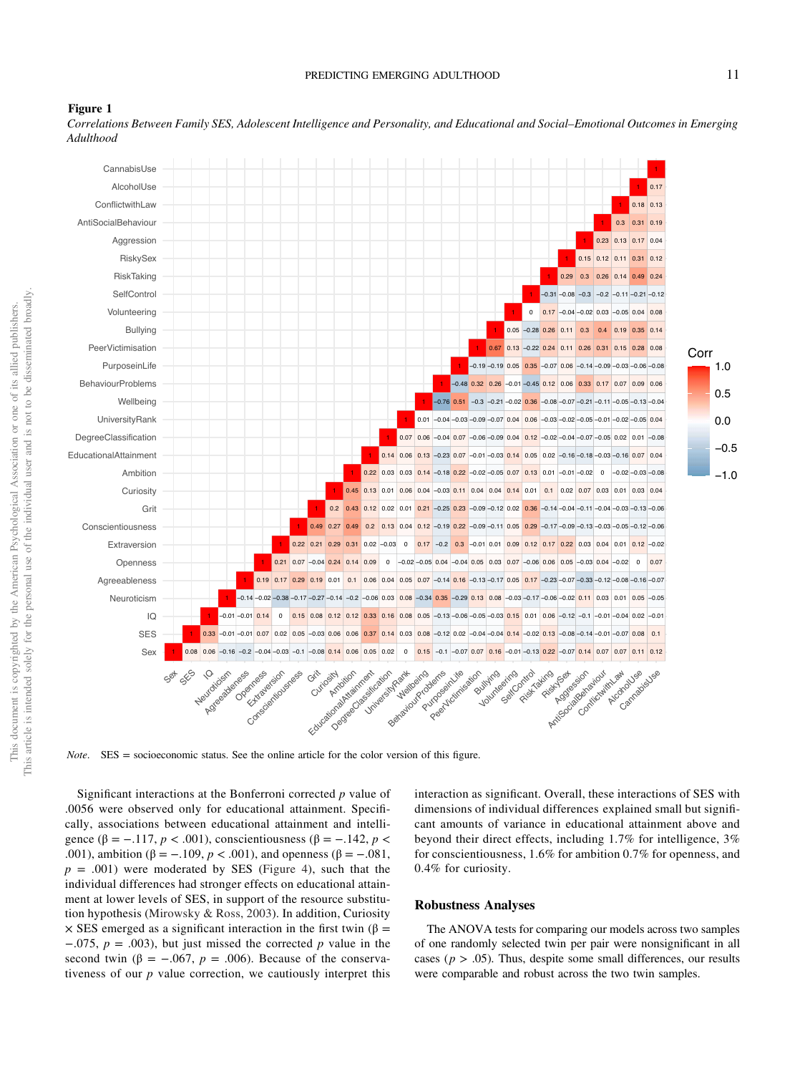

Figure 1

Correlations Between Family SES, Adolescent Intelligence and Personality, and Educational and Social–Emotional Outcomes in Emerging Adulthood

Note. SES = socioeconomic status. See the online article for the color version of this figure.

Significant interactions at the Bonferroni corrected  $p$  value of .0056 were observed only for educational attainment. Specifically, associations between educational attainment and intelligence (β = -.117,  $p < .001$ ), conscientiousness (β = -.142,  $p <$ .001), ambition (β = -.109,  $p < .001$ ), and openness (β = -.081,  $p = .001$ ) were moderated by SES (Figure 4), such that the individual differences had stronger effects on educational attainment at lower levels of SES, in support of the resource substitution hypothesis (Mirowsky & Ross, 2003). In addition, Curiosity  $\times$  SES emerged as a significant interaction in the first twin ( $\beta$  =  $-0.075$ ,  $p = 0.003$ ), but just missed the corrected p value in the second twin ( $\beta = -.067$ ,  $p = .006$ ). Because of the conservativeness of our  $p$  value correction, we cautiously interpret this interaction as significant. Overall, these interactions of SES with dimensions of individual differences explained small but significant amounts of variance in educational attainment above and beyond their direct effects, including 1.7% for intelligence, 3% for conscientiousness, 1.6% for ambition 0.7% for openness, and 0.4% for curiosity.

#### Robustness Analyses

The ANOVA tests for comparing our models across two samples of one randomly selected twin per pair were nonsignificant in all cases ( $p > .05$ ). Thus, despite some small differences, our results were comparable and robust across the two twin samples.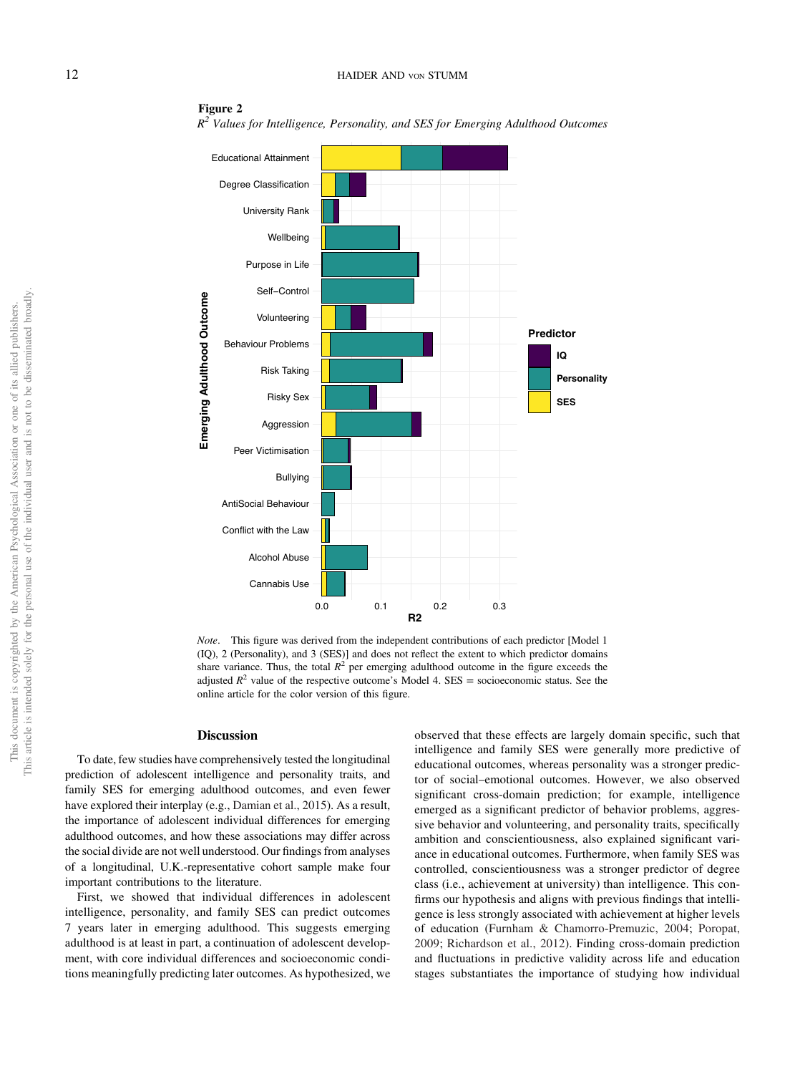## 12 HAIDER AND VON STUMM



Figure 2  $R^2$  Values for Intelligence, Personality, and SES for Emerging Adulthood Outcomes

Note. This figure was derived from the independent contributions of each predictor [Model 1 (IQ), 2 (Personality), and 3 (SES)] and does not reflect the extent to which predictor domains share variance. Thus, the total  $R^2$  per emerging adulthood outcome in the figure exceeds the adjusted  $R^2$  value of the respective outcome's Model 4. SES = socioeconomic status. See the online article for the color version of this figure.

#### Discussion

To date, few studies have comprehensively tested the longitudinal prediction of adolescent intelligence and personality traits, and family SES for emerging adulthood outcomes, and even fewer have explored their interplay (e.g., Damian et al., 2015). As a result, the importance of adolescent individual differences for emerging adulthood outcomes, and how these associations may differ across the social divide are not well understood. Our findings from analyses of a longitudinal, U.K.-representative cohort sample make four important contributions to the literature.

First, we showed that individual differences in adolescent intelligence, personality, and family SES can predict outcomes 7 years later in emerging adulthood. This suggests emerging adulthood is at least in part, a continuation of adolescent development, with core individual differences and socioeconomic conditions meaningfully predicting later outcomes. As hypothesized, we observed that these effects are largely domain specific, such that intelligence and family SES were generally more predictive of educational outcomes, whereas personality was a stronger predictor of social–emotional outcomes. However, we also observed significant cross-domain prediction; for example, intelligence emerged as a significant predictor of behavior problems, aggressive behavior and volunteering, and personality traits, specifically ambition and conscientiousness, also explained significant variance in educational outcomes. Furthermore, when family SES was controlled, conscientiousness was a stronger predictor of degree class (i.e., achievement at university) than intelligence. This confirms our hypothesis and aligns with previous findings that intelligence is less strongly associated with achievement at higher levels of education (Furnham & Chamorro-Premuzic, 2004; Poropat, 2009; Richardson et al., 2012). Finding cross-domain prediction and fluctuations in predictive validity across life and education stages substantiates the importance of studying how individual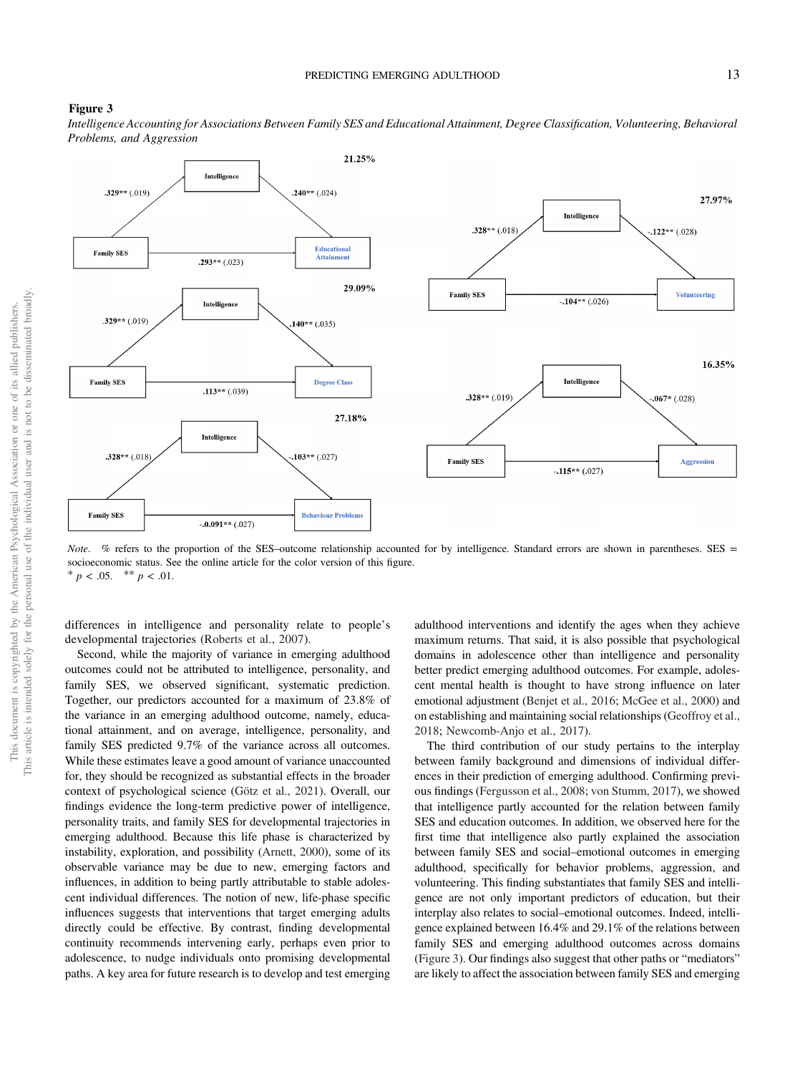#### Figure 3

Intelligence Accounting for Associations Between Family SES and Educational Attainment, Degree Classification, Volunteering, Behavioral Problems, and Aggression



Note. % refers to the proportion of the SES–outcome relationship accounted for by intelligence. Standard errors are shown in parentheses. SES = socioeconomic status. See the online article for the color version of this figure. \*  $p < .05.$  \*\*  $p < .01.$ 

differences in intelligence and personality relate to people's developmental trajectories (Roberts et al., 2007).

Second, while the majority of variance in emerging adulthood outcomes could not be attributed to intelligence, personality, and family SES, we observed significant, systematic prediction. Together, our predictors accounted for a maximum of 23.8% of the variance in an emerging adulthood outcome, namely, educational attainment, and on average, intelligence, personality, and family SES predicted 9.7% of the variance across all outcomes. While these estimates leave a good amount of variance unaccounted for, they should be recognized as substantial effects in the broader context of psychological science (Götz et al., 2021). Overall, our findings evidence the long-term predictive power of intelligence, personality traits, and family SES for developmental trajectories in emerging adulthood. Because this life phase is characterized by instability, exploration, and possibility (Arnett, 2000), some of its observable variance may be due to new, emerging factors and influences, in addition to being partly attributable to stable adolescent individual differences. The notion of new, life-phase specific influences suggests that interventions that target emerging adults directly could be effective. By contrast, finding developmental continuity recommends intervening early, perhaps even prior to adolescence, to nudge individuals onto promising developmental paths. A key area for future research is to develop and test emerging adulthood interventions and identify the ages when they achieve maximum returns. That said, it is also possible that psychological domains in adolescence other than intelligence and personality better predict emerging adulthood outcomes. For example, adolescent mental health is thought to have strong influence on later emotional adjustment (Benjet et al., 2016; McGee et al., 2000) and on establishing and maintaining social relationships (Geoffroy et al., 2018; Newcomb-Anjo et al., 2017).

The third contribution of our study pertains to the interplay between family background and dimensions of individual differences in their prediction of emerging adulthood. Confirming previous findings (Fergusson et al., 2008; von Stumm, 2017), we showed that intelligence partly accounted for the relation between family SES and education outcomes. In addition, we observed here for the first time that intelligence also partly explained the association between family SES and social–emotional outcomes in emerging adulthood, specifically for behavior problems, aggression, and volunteering. This finding substantiates that family SES and intelligence are not only important predictors of education, but their interplay also relates to social–emotional outcomes. Indeed, intelligence explained between 16.4% and 29.1% of the relations between family SES and emerging adulthood outcomes across domains (Figure 3). Our findings also suggest that other paths or "mediators" are likely to affect the association between family SES and emerging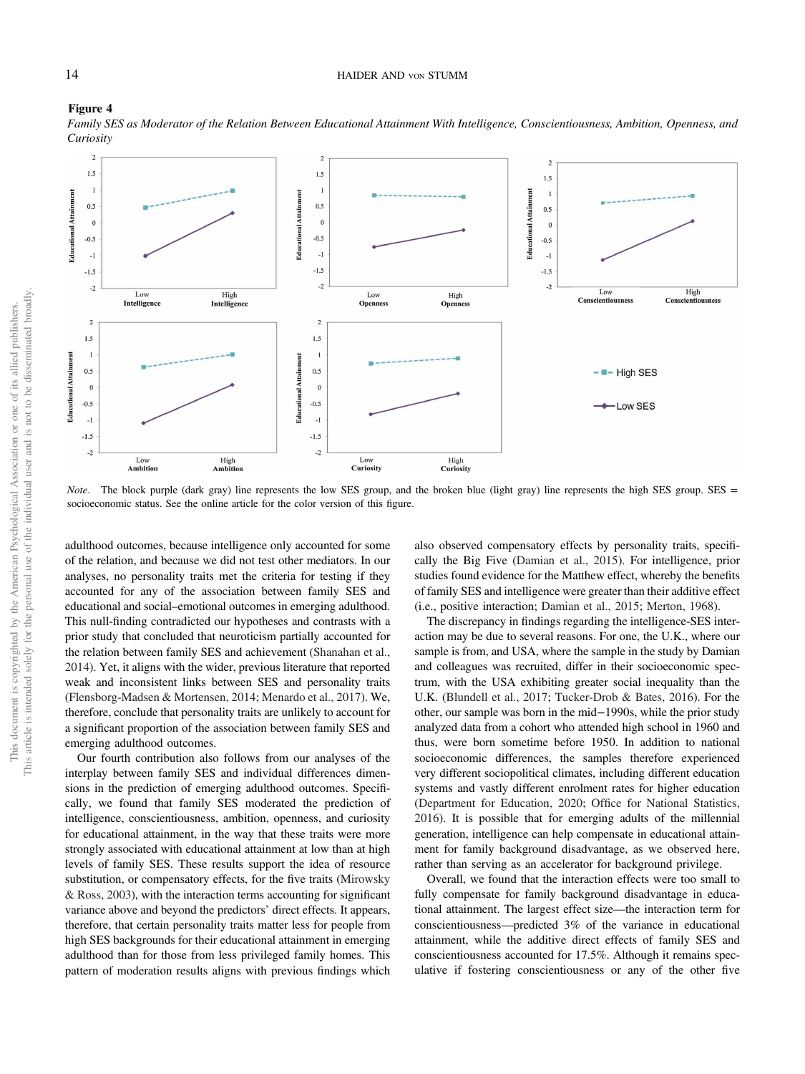

Family SES as Moderator of the Relation Between Educational Attainment With Intelligence, Conscientiousness, Ambition, Openness, and **Curiosity** 

Note. The block purple (dark gray) line represents the low SES group, and the broken blue (light gray) line represents the high SES group. SES = socioeconomic status. See the online article for the color version of this figure.

adulthood outcomes, because intelligence only accounted for some of the relation, and because we did not test other mediators. In our analyses, no personality traits met the criteria for testing if they accounted for any of the association between family SES and educational and social–emotional outcomes in emerging adulthood. This null-finding contradicted our hypotheses and contrasts with a prior study that concluded that neuroticism partially accounted for the relation between family SES and achievement (Shanahan et al., 2014). Yet, it aligns with the wider, previous literature that reported weak and inconsistent links between SES and personality traits (Flensborg-Madsen & Mortensen, 2014; Menardo et al., 2017). We, therefore, conclude that personality traits are unlikely to account for a significant proportion of the association between family SES and emerging adulthood outcomes.

Our fourth contribution also follows from our analyses of the interplay between family SES and individual differences dimensions in the prediction of emerging adulthood outcomes. Specifically, we found that family SES moderated the prediction of intelligence, conscientiousness, ambition, openness, and curiosity for educational attainment, in the way that these traits were more strongly associated with educational attainment at low than at high levels of family SES. These results support the idea of resource substitution, or compensatory effects, for the five traits (Mirowsky & Ross, 2003), with the interaction terms accounting for significant variance above and beyond the predictors' direct effects. It appears, therefore, that certain personality traits matter less for people from high SES backgrounds for their educational attainment in emerging adulthood than for those from less privileged family homes. This pattern of moderation results aligns with previous findings which also observed compensatory effects by personality traits, specifically the Big Five (Damian et al., 2015). For intelligence, prior studies found evidence for the Matthew effect, whereby the benefits of family SES and intelligence were greater than their additive effect (i.e., positive interaction; Damian et al., 2015; Merton, 1968).

The discrepancy in findings regarding the intelligence-SES interaction may be due to several reasons. For one, the U.K., where our sample is from, and USA, where the sample in the study by Damian and colleagues was recruited, differ in their socioeconomic spectrum, with the USA exhibiting greater social inequality than the U.K. (Blundell et al., 2017; Tucker-Drob & Bates, 2016). For the other, our sample was born in the mid−1990s, while the prior study analyzed data from a cohort who attended high school in 1960 and thus, were born sometime before 1950. In addition to national socioeconomic differences, the samples therefore experienced very different sociopolitical climates, including different education systems and vastly different enrolment rates for higher education (Department for Education, 2020; Office for National Statistics, 2016). It is possible that for emerging adults of the millennial generation, intelligence can help compensate in educational attainment for family background disadvantage, as we observed here, rather than serving as an accelerator for background privilege.

Overall, we found that the interaction effects were too small to fully compensate for family background disadvantage in educational attainment. The largest effect size—the interaction term for conscientiousness—predicted 3% of the variance in educational attainment, while the additive direct effects of family SES and conscientiousness accounted for 17.5%. Although it remains speculative if fostering conscientiousness or any of the other five

Figure 4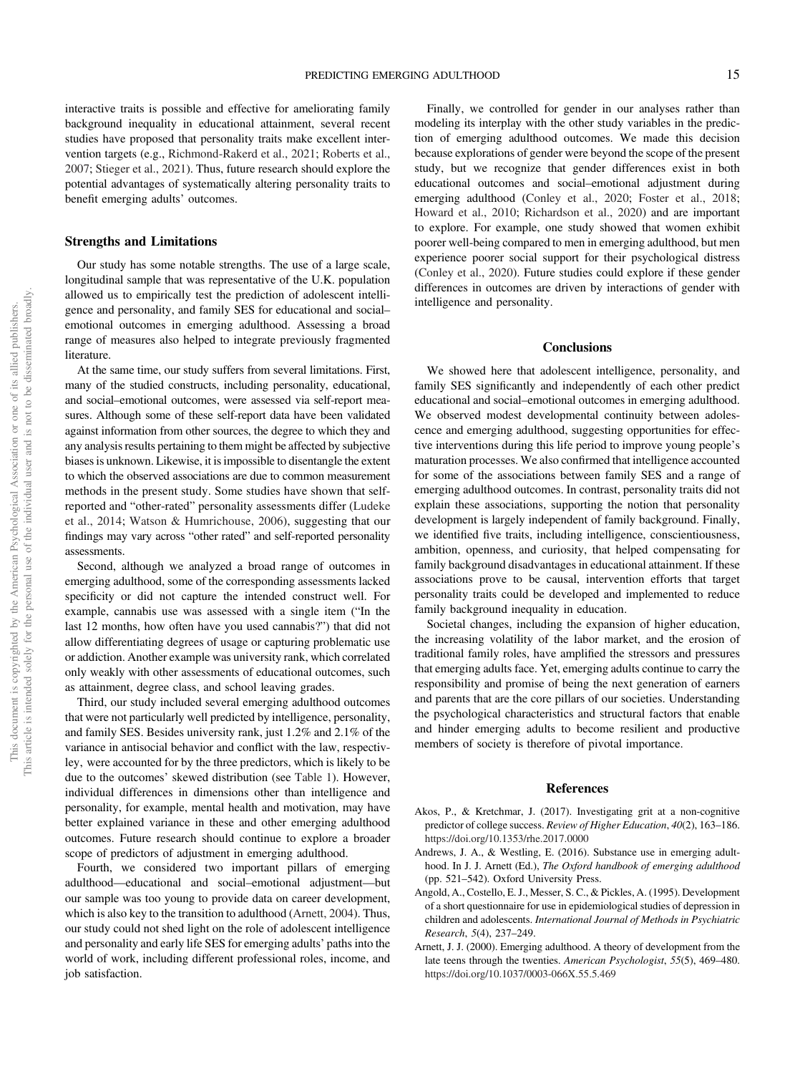interactive traits is possible and effective for ameliorating family background inequality in educational attainment, several recent studies have proposed that personality traits make excellent intervention targets (e.g., Richmond-Rakerd et al., 2021; Roberts et al., 2007; Stieger et al., 2021). Thus, future research should explore the potential advantages of systematically altering personality traits to benefit emerging adults' outcomes.

#### Strengths and Limitations

Our study has some notable strengths. The use of a large scale, longitudinal sample that was representative of the U.K. population allowed us to empirically test the prediction of adolescent intelligence and personality, and family SES for educational and social– emotional outcomes in emerging adulthood. Assessing a broad range of measures also helped to integrate previously fragmented literature.

At the same time, our study suffers from several limitations. First, many of the studied constructs, including personality, educational, and social–emotional outcomes, were assessed via self-report measures. Although some of these self-report data have been validated against information from other sources, the degree to which they and any analysis results pertaining to them might be affected by subjective biases is unknown. Likewise, it is impossible to disentangle the extent to which the observed associations are due to common measurement methods in the present study. Some studies have shown that selfreported and "other-rated" personality assessments differ (Ludeke et al., 2014; Watson & Humrichouse, 2006), suggesting that our findings may vary across "other rated" and self-reported personality assessments.

Second, although we analyzed a broad range of outcomes in emerging adulthood, some of the corresponding assessments lacked specificity or did not capture the intended construct well. For example, cannabis use was assessed with a single item ("In the last 12 months, how often have you used cannabis?") that did not allow differentiating degrees of usage or capturing problematic use or addiction. Another example was university rank, which correlated only weakly with other assessments of educational outcomes, such as attainment, degree class, and school leaving grades.

Third, our study included several emerging adulthood outcomes that were not particularly well predicted by intelligence, personality, and family SES. Besides university rank, just 1.2% and 2.1% of the variance in antisocial behavior and conflict with the law, respectivley, were accounted for by the three predictors, which is likely to be due to the outcomes' skewed distribution (see Table 1). However, individual differences in dimensions other than intelligence and personality, for example, mental health and motivation, may have better explained variance in these and other emerging adulthood outcomes. Future research should continue to explore a broader scope of predictors of adjustment in emerging adulthood.

Fourth, we considered two important pillars of emerging adulthood—educational and social–emotional adjustment—but our sample was too young to provide data on career development, which is also key to the transition to adulthood (Arnett, 2004). Thus, our study could not shed light on the role of adolescent intelligence and personality and early life SES for emerging adults' paths into the world of work, including different professional roles, income, and job satisfaction.

Finally, we controlled for gender in our analyses rather than modeling its interplay with the other study variables in the prediction of emerging adulthood outcomes. We made this decision because explorations of gender were beyond the scope of the present study, but we recognize that gender differences exist in both educational outcomes and social–emotional adjustment during emerging adulthood (Conley et al., 2020; Foster et al., 2018; Howard et al., 2010; Richardson et al., 2020) and are important to explore. For example, one study showed that women exhibit poorer well-being compared to men in emerging adulthood, but men experience poorer social support for their psychological distress (Conley et al., 2020). Future studies could explore if these gender differences in outcomes are driven by interactions of gender with intelligence and personality.

#### **Conclusions**

We showed here that adolescent intelligence, personality, and family SES significantly and independently of each other predict educational and social–emotional outcomes in emerging adulthood. We observed modest developmental continuity between adolescence and emerging adulthood, suggesting opportunities for effective interventions during this life period to improve young people's maturation processes. We also confirmed that intelligence accounted for some of the associations between family SES and a range of emerging adulthood outcomes. In contrast, personality traits did not explain these associations, supporting the notion that personality development is largely independent of family background. Finally, we identified five traits, including intelligence, conscientiousness, ambition, openness, and curiosity, that helped compensating for family background disadvantages in educational attainment. If these associations prove to be causal, intervention efforts that target personality traits could be developed and implemented to reduce family background inequality in education.

Societal changes, including the expansion of higher education, the increasing volatility of the labor market, and the erosion of traditional family roles, have amplified the stressors and pressures that emerging adults face. Yet, emerging adults continue to carry the responsibility and promise of being the next generation of earners and parents that are the core pillars of our societies. Understanding the psychological characteristics and structural factors that enable and hinder emerging adults to become resilient and productive members of society is therefore of pivotal importance.

#### References

- Akos, P., & Kretchmar, J. (2017). Investigating grit at a non-cognitive predictor of college success. Review of Higher Education, 40(2), 163–186. https://doi.org/10.1353/rhe.2017.0000
- Andrews, J. A., & Westling, E. (2016). Substance use in emerging adulthood. In J. J. Arnett (Ed.), The Oxford handbook of emerging adulthood (pp. 521–542). Oxford University Press.
- Angold, A., Costello, E. J., Messer, S. C., & Pickles, A. (1995). Development of a short questionnaire for use in epidemiological studies of depression in children and adolescents. International Journal of Methods in Psychiatric Research, 5(4), 237–249.
- Arnett, J. J. (2000). Emerging adulthood. A theory of development from the late teens through the twenties. American Psychologist, 55(5), 469–480. https://doi.org/10.1037/0003-066X.55.5.469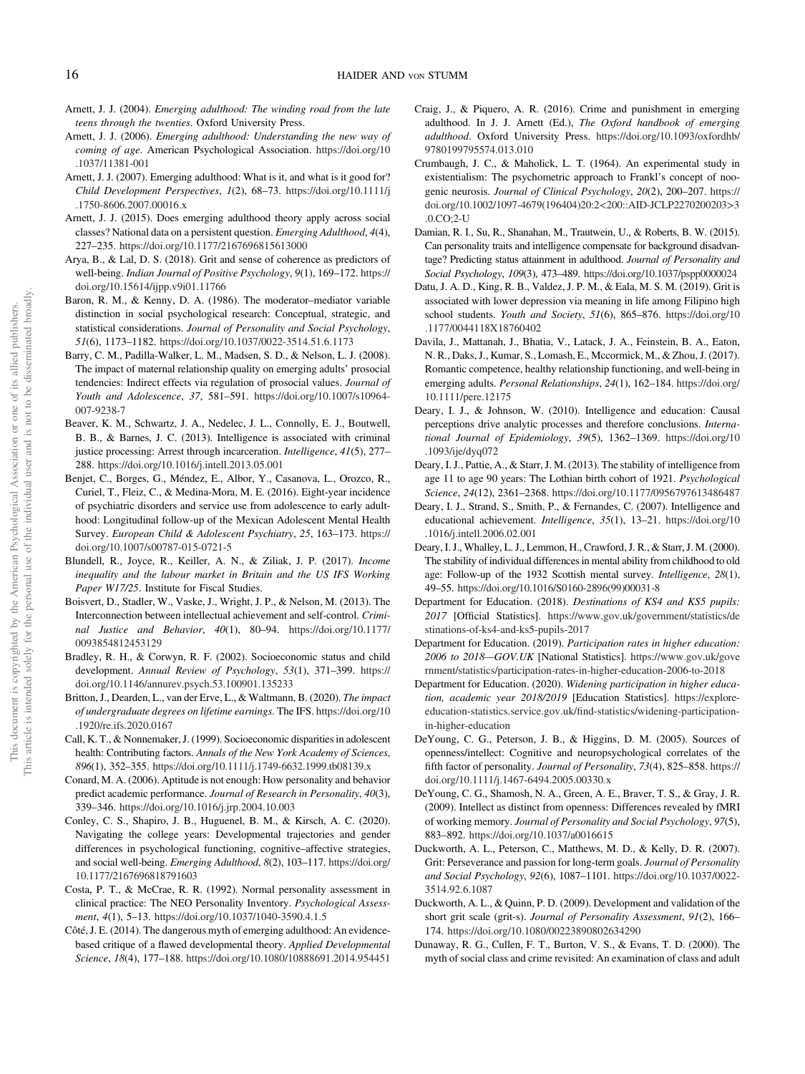- Arnett, J. J. (2004). Emerging adulthood: The winding road from the late teens through the twenties. Oxford University Press.
- Arnett, J. J. (2006). Emerging adulthood: Understanding the new way of coming of age. American Psychological Association. https://doi.org/10 .1037/11381-001
- Arnett, J. J. (2007). Emerging adulthood: What is it, and what is it good for? Child Development Perspectives, 1(2), 68–73. https://doi.org/10.1111/j .1750-8606.2007.00016.x
- Arnett, J. J. (2015). Does emerging adulthood theory apply across social classes? National data on a persistent question. Emerging Adulthood, 4(4), 227–235. https://doi.org/10.1177/2167696815613000
- Arya, B., & Lal, D. S. (2018). Grit and sense of coherence as predictors of well-being. Indian Journal of Positive Psychology, 9(1), 169–172. https:// doi.org/10.15614/ijpp.v9i01.11766
- Baron, R. M., & Kenny, D. A. (1986). The moderator–mediator variable distinction in social psychological research: Conceptual, strategic, and statistical considerations. Journal of Personality and Social Psychology, 51(6), 1173–1182. https://doi.org/10.1037/0022-3514.51.6.1173
- Barry, C. M., Padilla-Walker, L. M., Madsen, S. D., & Nelson, L. J. (2008). The impact of maternal relationship quality on emerging adults' prosocial tendencies: Indirect effects via regulation of prosocial values. Journal of Youth and Adolescence, 37, 581–591. https://doi.org/10.1007/s10964- 007-9238-7
- Beaver, K. M., Schwartz, J. A., Nedelec, J. L., Connolly, E. J., Boutwell, B. B., & Barnes, J. C. (2013). Intelligence is associated with criminal justice processing: Arrest through incarceration. *Intelligence*, 41(5), 277– 288. https://doi.org/10.1016/j.intell.2013.05.001
- Benjet, C., Borges, G., Méndez, E., Albor, Y., Casanova, L., Orozco, R., Curiel, T., Fleiz, C., & Medina-Mora, M. E. (2016). Eight-year incidence of psychiatric disorders and service use from adolescence to early adulthood: Longitudinal follow-up of the Mexican Adolescent Mental Health Survey. European Child & Adolescent Psychiatry, 25, 163–173. https:// doi.org/10.1007/s00787-015-0721-5
- Blundell, R., Joyce, R., Keiller, A. N., & Ziliak, J. P. (2017). Income inequality and the labour market in Britain and the US IFS Working Paper W17/25. Institute for Fiscal Studies.
- Boisvert, D., Stadler, W., Vaske, J., Wright, J. P., & Nelson, M. (2013). The Interconnection between intellectual achievement and self-control. Criminal Justice and Behavior, 40(1), 80–94. https://doi.org/10.1177/ 0093854812453129
- Bradley, R. H., & Corwyn, R. F. (2002). Socioeconomic status and child development. Annual Review of Psychology, 53(1), 371–399. https:// doi.org/10.1146/annurev.psych.53.100901.135233
- Britton, J., Dearden, L., van der Erve, L., & Waltmann, B. (2020). The impact of undergraduate degrees on lifetime earnings. The IFS. https://doi.org/10 .1920/re.ifs.2020.0167
- Call, K. T., & Nonnemaker, J. (1999). Socioeconomic disparities in adolescent health: Contributing factors. Annals of the New York Academy of Sciences, 896(1), 352–355. https://doi.org/10.1111/j.1749-6632.1999.tb08139.x
- Conard, M. A. (2006). Aptitude is not enough: How personality and behavior predict academic performance. Journal of Research in Personality, 40(3), 339–346. https://doi.org/10.1016/j.jrp.2004.10.003
- Conley, C. S., Shapiro, J. B., Huguenel, B. M., & Kirsch, A. C. (2020). Navigating the college years: Developmental trajectories and gender differences in psychological functioning, cognitive–affective strategies, and social well-being. Emerging Adulthood, 8(2), 103–117. https://doi.org/ 10.1177/2167696818791603
- Costa, P. T., & McCrae, R. R. (1992). Normal personality assessment in clinical practice: The NEO Personality Inventory. Psychological Assessment, 4(1), 5–13. https://doi.org/10.1037/1040-3590.4.1.5
- Côté, J. E. (2014). The dangerous myth of emerging adulthood: An evidencebased critique of a flawed developmental theory. Applied Developmental Science, 18(4), 177–188. https://doi.org/10.1080/10888691.2014.954451
- Craig, J., & Piquero, A. R. (2016). Crime and punishment in emerging adulthood. In J. J. Arnett (Ed.), The Oxford handbook of emerging adulthood. Oxford University Press. https://doi.org/10.1093/oxfordhb/ 9780199795574.013.010
- Crumbaugh, J. C., & Maholick, L. T. (1964). An experimental study in existentialism: The psychometric approach to Frankl's concept of noogenic neurosis. Journal of Clinical Psychology, 20(2), 200–207. https:// doi.org/10.1002/1097-4679(196404)20:2<200::AID-JCLP2270200203>3 .0.CO;2-U
- Damian, R. I., Su, R., Shanahan, M., Trautwein, U., & Roberts, B. W. (2015). Can personality traits and intelligence compensate for background disadvantage? Predicting status attainment in adulthood. Journal of Personality and Social Psychology, 109(3), 473–489. https://doi.org/10.1037/pspp0000024
- Datu, J. A. D., King, R. B., Valdez, J. P. M., & Eala, M. S. M. (2019). Grit is associated with lower depression via meaning in life among Filipino high school students. Youth and Society, 51(6), 865-876. https://doi.org/10 .1177/0044118X18760402
- Davila, J., Mattanah, J., Bhatia, V., Latack, J. A., Feinstein, B. A., Eaton, N. R., Daks, J., Kumar, S., Lomash, E., Mccormick, M., & Zhou, J. (2017). Romantic competence, healthy relationship functioning, and well-being in emerging adults. Personal Relationships, 24(1), 162–184. https://doi.org/ 10.1111/pere.12175
- Deary, I. J., & Johnson, W. (2010). Intelligence and education: Causal perceptions drive analytic processes and therefore conclusions. International Journal of Epidemiology, 39(5), 1362–1369. https://doi.org/10 .1093/ije/dyq072
- Deary, I. J., Pattie, A., & Starr, J. M. (2013). The stability of intelligence from age 11 to age 90 years: The Lothian birth cohort of 1921. Psychological Science, 24(12), 2361–2368. https://doi.org/10.1177/0956797613486487
- Deary, I. J., Strand, S., Smith, P., & Fernandes, C. (2007). Intelligence and educational achievement. Intelligence, 35(1), 13–21. https://doi.org/10 .1016/j.intell.2006.02.001
- Deary, I. J., Whalley, L. J., Lemmon, H., Crawford, J. R., & Starr, J. M. (2000). The stability of individual differences in mental ability from childhood to old age: Follow-up of the 1932 Scottish mental survey. Intelligence, 28(1), 49–55. https://doi.org/10.1016/S0160-2896(99)00031-8
- Department for Education. (2018). Destinations of KS4 and KS5 pupils: 2017 [Official Statistics]. https://www.gov.uk/government/statistics/de stinations-of-ks4-and-ks5-pupils-2017
- Department for Education. (2019). Participation rates in higher education: 2006 to 2018—GOV.UK [National Statistics]. https://www.gov.uk/gove rnment/statistics/participation-rates-in-higher-education-2006-to-2018
- Department for Education. (2020). Widening participation in higher education, academic year 2018/2019 [Education Statistics]. https://exploreeducation-statistics.service.gov.uk/find-statistics/widening-participationin-higher-education
- DeYoung, C. G., Peterson, J. B., & Higgins, D. M. (2005). Sources of openness/intellect: Cognitive and neuropsychological correlates of the fifth factor of personality. Journal of Personality, 73(4), 825–858. https:// doi.org/10.1111/j.1467-6494.2005.00330.x
- DeYoung, C. G., Shamosh, N. A., Green, A. E., Braver, T. S., & Gray, J. R. (2009). Intellect as distinct from openness: Differences revealed by fMRI of working memory. Journal of Personality and Social Psychology, 97(5), 883–892. https://doi.org/10.1037/a0016615
- Duckworth, A. L., Peterson, C., Matthews, M. D., & Kelly, D. R. (2007). Grit: Perseverance and passion for long-term goals. Journal of Personality and Social Psychology, 92(6), 1087–1101. https://doi.org/10.1037/0022- 3514.92.6.1087
- Duckworth, A. L., & Quinn, P. D. (2009). Development and validation of the short grit scale (grit-s). Journal of Personality Assessment, 91(2), 166-174. https://doi.org/10.1080/00223890802634290
- Dunaway, R. G., Cullen, F. T., Burton, V. S., & Evans, T. D. (2000). The myth of social class and crime revisited: An examination of class and adult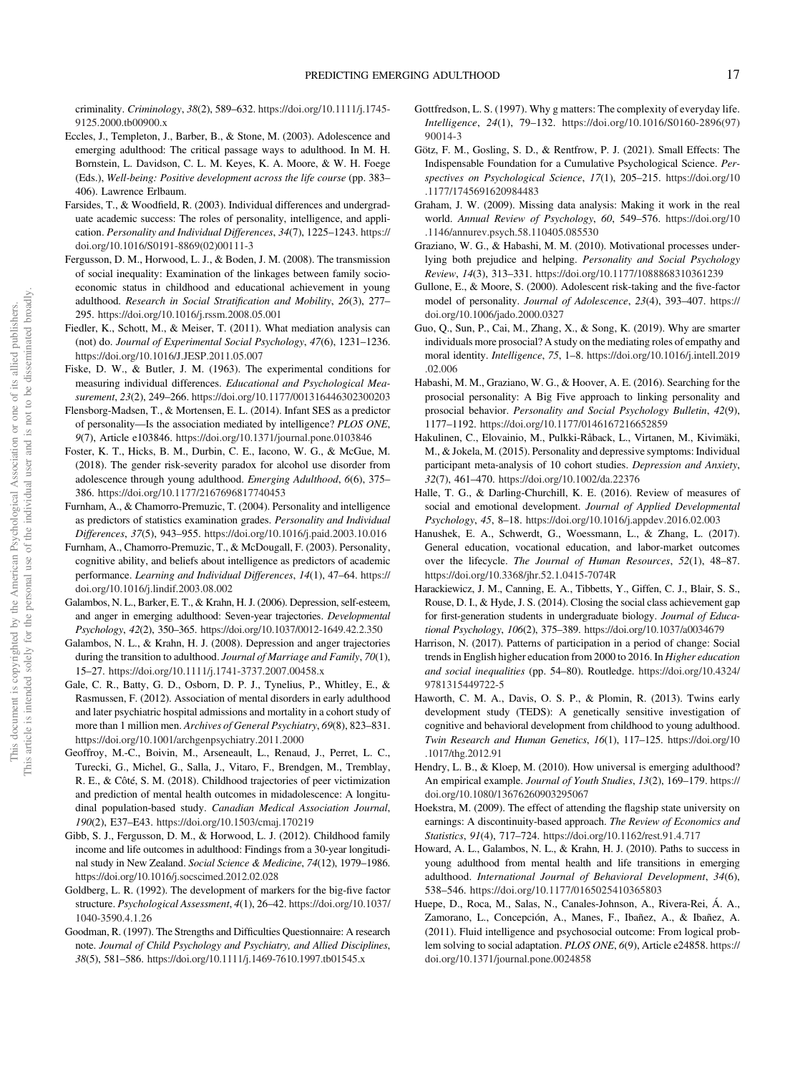criminality. Criminology, 38(2), 589–632. https://doi.org/10.1111/j.1745- 9125.2000.tb00900.x

- Eccles, J., Templeton, J., Barber, B., & Stone, M. (2003). Adolescence and emerging adulthood: The critical passage ways to adulthood. In M. H. Bornstein, L. Davidson, C. L. M. Keyes, K. A. Moore, & W. H. Foege (Eds.), Well-being: Positive development across the life course (pp. 383– 406). Lawrence Erlbaum.
- Farsides, T., & Woodfield, R. (2003). Individual differences and undergraduate academic success: The roles of personality, intelligence, and application. Personality and Individual Differences, 34(7), 1225–1243. https:// doi.org/10.1016/S0191-8869(02)00111-3
- Fergusson, D. M., Horwood, L. J., & Boden, J. M. (2008). The transmission of social inequality: Examination of the linkages between family socioeconomic status in childhood and educational achievement in young adulthood. Research in Social Stratification and Mobility, 26(3), 277– 295. https://doi.org/10.1016/j.rssm.2008.05.001
- Fiedler, K., Schott, M., & Meiser, T. (2011). What mediation analysis can (not) do. Journal of Experimental Social Psychology, 47(6), 1231–1236. https://doi.org/10.1016/J.JESP.2011.05.007
- Fiske, D. W., & Butler, J. M. (1963). The experimental conditions for measuring individual differences. Educational and Psychological Measurement, 23(2), 249–266. https://doi.org/10.1177/001316446302300203
- Flensborg-Madsen, T., & Mortensen, E. L. (2014). Infant SES as a predictor of personality—Is the association mediated by intelligence? PLOS ONE, 9(7), Article e103846. https://doi.org/10.1371/journal.pone.0103846
- Foster, K. T., Hicks, B. M., Durbin, C. E., Iacono, W. G., & McGue, M. (2018). The gender risk-severity paradox for alcohol use disorder from adolescence through young adulthood. Emerging Adulthood, 6(6), 375– 386. https://doi.org/10.1177/2167696817740453
- Furnham, A., & Chamorro-Premuzic, T. (2004). Personality and intelligence as predictors of statistics examination grades. Personality and Individual Differences, 37(5), 943–955. https://doi.org/10.1016/j.paid.2003.10.016
- Furnham, A., Chamorro-Premuzic, T., & McDougall, F. (2003). Personality, cognitive ability, and beliefs about intelligence as predictors of academic performance. Learning and Individual Differences, 14(1), 47–64. https:// doi.org/10.1016/j.lindif.2003.08.002
- Galambos, N. L., Barker, E. T., & Krahn, H. J. (2006). Depression, self-esteem, and anger in emerging adulthood: Seven-year trajectories. Developmental Psychology, 42(2), 350–365. https://doi.org/10.1037/0012-1649.42.2.350
- Galambos, N. L., & Krahn, H. J. (2008). Depression and anger trajectories during the transition to adulthood. Journal of Marriage and Family, 70(1), 15–27. https://doi.org/10.1111/j.1741-3737.2007.00458.x
- Gale, C. R., Batty, G. D., Osborn, D. P. J., Tynelius, P., Whitley, E., & Rasmussen, F. (2012). Association of mental disorders in early adulthood and later psychiatric hospital admissions and mortality in a cohort study of more than 1 million men. Archives of General Psychiatry, 69(8), 823–831. https://doi.org/10.1001/archgenpsychiatry.2011.2000
- Geoffroy, M.-C., Boivin, M., Arseneault, L., Renaud, J., Perret, L. C., Turecki, G., Michel, G., Salla, J., Vitaro, F., Brendgen, M., Tremblay, R. E., & Côté, S. M. (2018). Childhood trajectories of peer victimization and prediction of mental health outcomes in midadolescence: A longitudinal population-based study. Canadian Medical Association Journal, 190(2), E37–E43. https://doi.org/10.1503/cmaj.170219
- Gibb, S. J., Fergusson, D. M., & Horwood, L. J. (2012). Childhood family income and life outcomes in adulthood: Findings from a 30-year longitudinal study in New Zealand. Social Science & Medicine, 74(12), 1979–1986. https://doi.org/10.1016/j.socscimed.2012.02.028
- Goldberg, L. R. (1992). The development of markers for the big-five factor structure. Psychological Assessment, 4(1), 26–42. https://doi.org/10.1037/ 1040-3590.4.1.26
- Goodman, R. (1997). The Strengths and Difficulties Questionnaire: A research note. Journal of Child Psychology and Psychiatry, and Allied Disciplines, 38(5), 581–586. https://doi.org/10.1111/j.1469-7610.1997.tb01545.x
- Gottfredson, L. S. (1997). Why g matters: The complexity of everyday life. Intelligence, 24(1), 79–132. https://doi.org/10.1016/S0160-2896(97) 90014-3
- Götz, F. M., Gosling, S. D., & Rentfrow, P. J. (2021). Small Effects: The Indispensable Foundation for a Cumulative Psychological Science. Perspectives on Psychological Science, 17(1), 205–215. https://doi.org/10 .1177/1745691620984483
- Graham, J. W. (2009). Missing data analysis: Making it work in the real world. Annual Review of Psychology, 60, 549–576. https://doi.org/10 .1146/annurev.psych.58.110405.085530
- Graziano, W. G., & Habashi, M. M. (2010). Motivational processes underlying both prejudice and helping. Personality and Social Psychology Review, 14(3), 313–331. https://doi.org/10.1177/1088868310361239
- Gullone, E., & Moore, S. (2000). Adolescent risk-taking and the five-factor model of personality. Journal of Adolescence, 23(4), 393–407. https:// doi.org/10.1006/jado.2000.0327
- Guo, Q., Sun, P., Cai, M., Zhang, X., & Song, K. (2019). Why are smarter individuals more prosocial? A study on the mediating roles of empathy and moral identity. Intelligence, 75, 1–8. https://doi.org/10.1016/j.intell.2019 .02.006
- Habashi, M. M., Graziano, W. G., & Hoover, A. E. (2016). Searching for the prosocial personality: A Big Five approach to linking personality and prosocial behavior. Personality and Social Psychology Bulletin, 42(9), 1177–1192. https://doi.org/10.1177/0146167216652859
- Hakulinen, C., Elovainio, M., Pulkki-Råback, L., Virtanen, M., Kivimäki, M., & Jokela, M. (2015). Personality and depressive symptoms: Individual participant meta-analysis of 10 cohort studies. Depression and Anxiety, 32(7), 461–470. https://doi.org/10.1002/da.22376
- Halle, T. G., & Darling-Churchill, K. E. (2016). Review of measures of social and emotional development. Journal of Applied Developmental Psychology, 45, 8–18. https://doi.org/10.1016/j.appdev.2016.02.003
- Hanushek, E. A., Schwerdt, G., Woessmann, L., & Zhang, L. (2017). General education, vocational education, and labor-market outcomes over the lifecycle. The Journal of Human Resources, 52(1), 48–87. https://doi.org/10.3368/jhr.52.1.0415-7074R
- Harackiewicz, J. M., Canning, E. A., Tibbetts, Y., Giffen, C. J., Blair, S. S., Rouse, D. I., & Hyde, J. S. (2014). Closing the social class achievement gap for first-generation students in undergraduate biology. Journal of Educational Psychology, 106(2), 375–389. https://doi.org/10.1037/a0034679
- Harrison, N. (2017). Patterns of participation in a period of change: Social trends in English higher education from 2000 to 2016. In Higher education and social inequalities (pp. 54–80). Routledge. https://doi.org/10.4324/ 9781315449722-5
- Haworth, C. M. A., Davis, O. S. P., & Plomin, R. (2013). Twins early development study (TEDS): A genetically sensitive investigation of cognitive and behavioral development from childhood to young adulthood. Twin Research and Human Genetics, 16(1), 117–125. https://doi.org/10 .1017/thg.2012.91
- Hendry, L. B., & Kloep, M. (2010). How universal is emerging adulthood? An empirical example. Journal of Youth Studies, 13(2), 169-179. https:// doi.org/10.1080/13676260903295067
- Hoekstra, M. (2009). The effect of attending the flagship state university on earnings: A discontinuity-based approach. The Review of Economics and Statistics, 91(4), 717–724. https://doi.org/10.1162/rest.91.4.717
- Howard, A. L., Galambos, N. L., & Krahn, H. J. (2010). Paths to success in young adulthood from mental health and life transitions in emerging adulthood. International Journal of Behavioral Development, 34(6), 538–546. https://doi.org/10.1177/0165025410365803
- Huepe, D., Roca, M., Salas, N., Canales-Johnson, A., Rivera-Rei, Á. A., Zamorano, L., Concepción, A., Manes, F., Ibañez, A., & Ibañez, A. (2011). Fluid intelligence and psychosocial outcome: From logical problem solving to social adaptation. PLOS ONE, 6(9), Article e24858. https:// doi.org/10.1371/journal.pone.0024858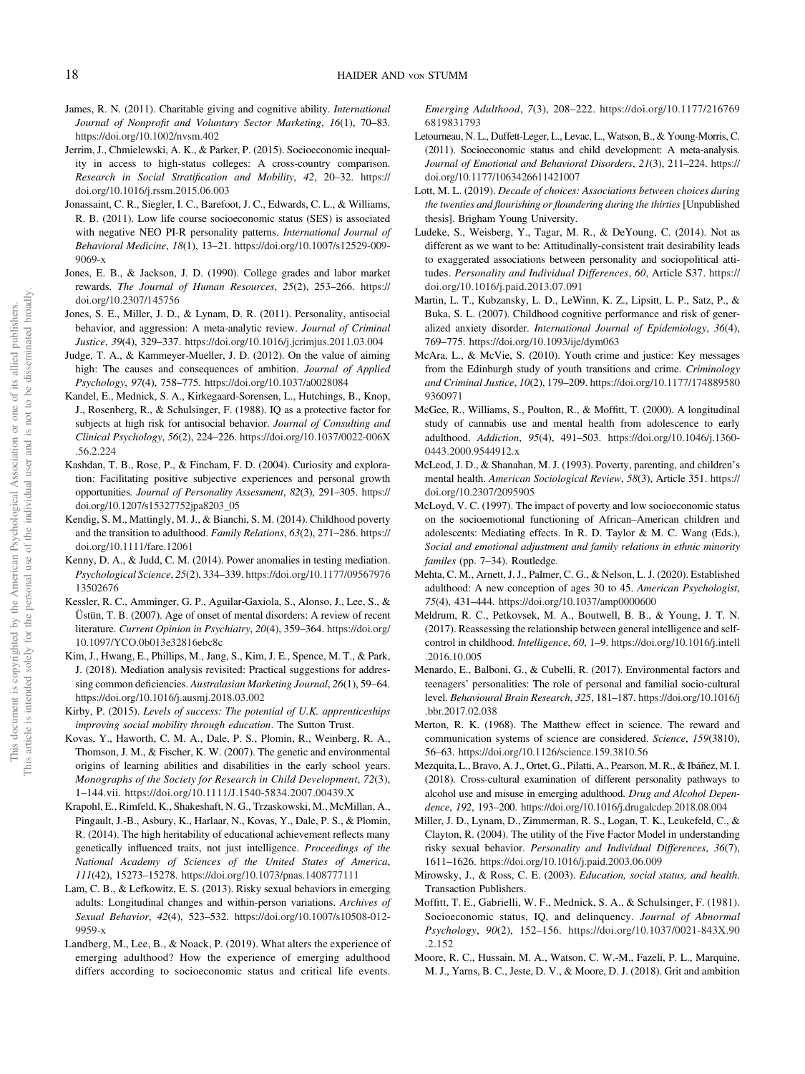- James, R. N. (2011). Charitable giving and cognitive ability. International Journal of Nonprofit and Voluntary Sector Marketing, 16(1), 70–83. https://doi.org/10.1002/nvsm.402
- Jerrim, J., Chmielewski, A. K., & Parker, P. (2015). Socioeconomic inequality in access to high-status colleges: A cross-country comparison. Research in Social Stratification and Mobility, 42, 20–32. https:// doi.org/10.1016/j.rssm.2015.06.003
- Jonassaint, C. R., Siegler, I. C., Barefoot, J. C., Edwards, C. L., & Williams, R. B. (2011). Low life course socioeconomic status (SES) is associated with negative NEO PI-R personality patterns. International Journal of Behavioral Medicine, 18(1), 13–21. https://doi.org/10.1007/s12529-009- 9069-x
- Jones, E. B., & Jackson, J. D. (1990). College grades and labor market rewards. The Journal of Human Resources, 25(2), 253–266. https:// doi.org/10.2307/145756
- Jones, S. E., Miller, J. D., & Lynam, D. R. (2011). Personality, antisocial behavior, and aggression: A meta-analytic review. Journal of Criminal Justice, 39(4), 329–337. https://doi.org/10.1016/j.jcrimjus.2011.03.004
- Judge, T. A., & Kammeyer-Mueller, J. D. (2012). On the value of aiming high: The causes and consequences of ambition. Journal of Applied Psychology, 97(4), 758–775. https://doi.org/10.1037/a0028084
- Kandel, E., Mednick, S. A., Kirkegaard-Sorensen, L., Hutchings, B., Knop, J., Rosenberg, R., & Schulsinger, F. (1988). IQ as a protective factor for subjects at high risk for antisocial behavior. Journal of Consulting and Clinical Psychology, 56(2), 224–226. https://doi.org/10.1037/0022-006X .56.2.224
- Kashdan, T. B., Rose, P., & Fincham, F. D. (2004). Curiosity and exploration: Facilitating positive subjective experiences and personal growth opportunities. Journal of Personality Assessment, 82(3), 291–305. https:// doi.org/10.1207/s15327752jpa8203\_05
- Kendig, S. M., Mattingly, M. J., & Bianchi, S. M. (2014). Childhood poverty and the transition to adulthood. Family Relations, 63(2), 271–286. https:// doi.org/10.1111/fare.12061
- Kenny, D. A., & Judd, C. M. (2014). Power anomalies in testing mediation. Psychological Science, 25(2), 334–339. https://doi.org/10.1177/09567976 13502676
- Kessler, R. C., Amminger, G. P., Aguilar-Gaxiola, S., Alonso, J., Lee, S., & Üstün, T. B. (2007). Age of onset of mental disorders: A review of recent literature. Current Opinion in Psychiatry, 20(4), 359–364. https://doi.org/ 10.1097/YCO.0b013e32816ebc8c
- Kim, J., Hwang, E., Phillips, M., Jang, S., Kim, J. E., Spence, M. T., & Park, J. (2018). Mediation analysis revisited: Practical suggestions for addressing common deficiencies. Australasian Marketing Journal, 26(1), 59–64. https://doi.org/10.1016/j.ausmj.2018.03.002
- Kirby, P. (2015). Levels of success: The potential of U.K. apprenticeships improving social mobility through education. The Sutton Trust.
- Kovas, Y., Haworth, C. M. A., Dale, P. S., Plomin, R., Weinberg, R. A., Thomson, J. M., & Fischer, K. W. (2007). The genetic and environmental origins of learning abilities and disabilities in the early school years. Monographs of the Society for Research in Child Development, 72(3), 1–144.vii. https://doi.org/10.1111/J.1540-5834.2007.00439.X
- Krapohl, E., Rimfeld, K., Shakeshaft, N. G., Trzaskowski, M., McMillan, A., Pingault, J.-B., Asbury, K., Harlaar, N., Kovas, Y., Dale, P. S., & Plomin, R. (2014). The high heritability of educational achievement reflects many genetically influenced traits, not just intelligence. Proceedings of the National Academy of Sciences of the United States of America, 111(42), 15273–15278. https://doi.org/10.1073/pnas.1408777111
- Lam, C. B., & Lefkowitz, E. S. (2013). Risky sexual behaviors in emerging adults: Longitudinal changes and within-person variations. Archives of Sexual Behavior, 42(4), 523–532. https://doi.org/10.1007/s10508-012- 9959-x
- Landberg, M., Lee, B., & Noack, P. (2019). What alters the experience of emerging adulthood? How the experience of emerging adulthood differs according to socioeconomic status and critical life events.

Emerging Adulthood, 7(3), 208–222. https://doi.org/10.1177/216769 6819831793

- Letourneau, N. L., Duffett-Leger, L., Levac, L., Watson, B., & Young-Morris, C. (2011). Socioeconomic status and child development: A meta-analysis. Journal of Emotional and Behavioral Disorders, 21(3), 211–224. https:// doi.org/10.1177/1063426611421007
- Lott, M. L. (2019). Decade of choices: Associations between choices during the twenties and flourishing or floundering during the thirties [Unpublished thesis]. Brigham Young University.
- Ludeke, S., Weisberg, Y., Tagar, M. R., & DeYoung, C. (2014). Not as different as we want to be: Attitudinally-consistent trait desirability leads to exaggerated associations between personality and sociopolitical attitudes. Personality and Individual Differences, 60, Article S37. https:// doi.org/10.1016/j.paid.2013.07.091
- Martin, L. T., Kubzansky, L. D., LeWinn, K. Z., Lipsitt, L. P., Satz, P., & Buka, S. L. (2007). Childhood cognitive performance and risk of generalized anxiety disorder. International Journal of Epidemiology, 36(4), 769–775. https://doi.org/10.1093/ije/dym063
- McAra, L., & McVie, S. (2010). Youth crime and justice: Key messages from the Edinburgh study of youth transitions and crime. Criminology and Criminal Justice, 10(2), 179–209. https://doi.org/10.1177/174889580 9360971
- McGee, R., Williams, S., Poulton, R., & Moffitt, T. (2000). A longitudinal study of cannabis use and mental health from adolescence to early adulthood. Addiction, 95(4), 491–503. https://doi.org/10.1046/j.1360- 0443.2000.9544912.x
- McLeod, J. D., & Shanahan, M. J. (1993). Poverty, parenting, and children's mental health. American Sociological Review, 58(3), Article 351. https:// doi.org/10.2307/2095905
- McLoyd, V. C. (1997). The impact of poverty and low socioeconomic status on the socioemotional functioning of African–American children and adolescents: Mediating effects. In R. D. Taylor & M. C. Wang (Eds.), Social and emotional adjustment and family relations in ethnic minority familes (pp. 7-34). Routledge.
- Mehta, C. M., Arnett, J. J., Palmer, C. G., & Nelson, L. J. (2020). Established adulthood: A new conception of ages 30 to 45. American Psychologist, 75(4), 431–444. https://doi.org/10.1037/amp0000600
- Meldrum, R. C., Petkovsek, M. A., Boutwell, B. B., & Young, J. T. N. (2017). Reassessing the relationship between general intelligence and selfcontrol in childhood. Intelligence, 60, 1–9. https://doi.org/10.1016/j.intell .2016.10.005
- Menardo, E., Balboni, G., & Cubelli, R. (2017). Environmental factors and teenagers' personalities: The role of personal and familial socio-cultural level. Behavioural Brain Research, 325, 181–187. https://doi.org/10.1016/j .bbr.2017.02.038
- Merton, R. K. (1968). The Matthew effect in science. The reward and communication systems of science are considered. Science, 159(3810), 56–63. https://doi.org/10.1126/science.159.3810.56
- Mezquita, L., Bravo, A. J., Ortet, G., Pilatti, A., Pearson, M. R., & Ibáñez, M. I. (2018). Cross-cultural examination of different personality pathways to alcohol use and misuse in emerging adulthood. Drug and Alcohol Dependence, 192, 193–200. https://doi.org/10.1016/j.drugalcdep.2018.08.004
- Miller, J. D., Lynam, D., Zimmerman, R. S., Logan, T. K., Leukefeld, C., & Clayton, R. (2004). The utility of the Five Factor Model in understanding risky sexual behavior. Personality and Individual Differences, 36(7), 1611–1626. https://doi.org/10.1016/j.paid.2003.06.009
- Mirowsky, J., & Ross, C. E. (2003). Education, social status, and health. Transaction Publishers.
- Moffitt, T. E., Gabrielli, W. F., Mednick, S. A., & Schulsinger, F. (1981). Socioeconomic status, IQ, and delinquency. Journal of Abnormal Psychology, 90(2), 152–156. https://doi.org/10.1037/0021-843X.90 .2.152
- Moore, R. C., Hussain, M. A., Watson, C. W.-M., Fazeli, P. L., Marquine, M. J., Yarns, B. C., Jeste, D. V., & Moore, D. J. (2018). Grit and ambition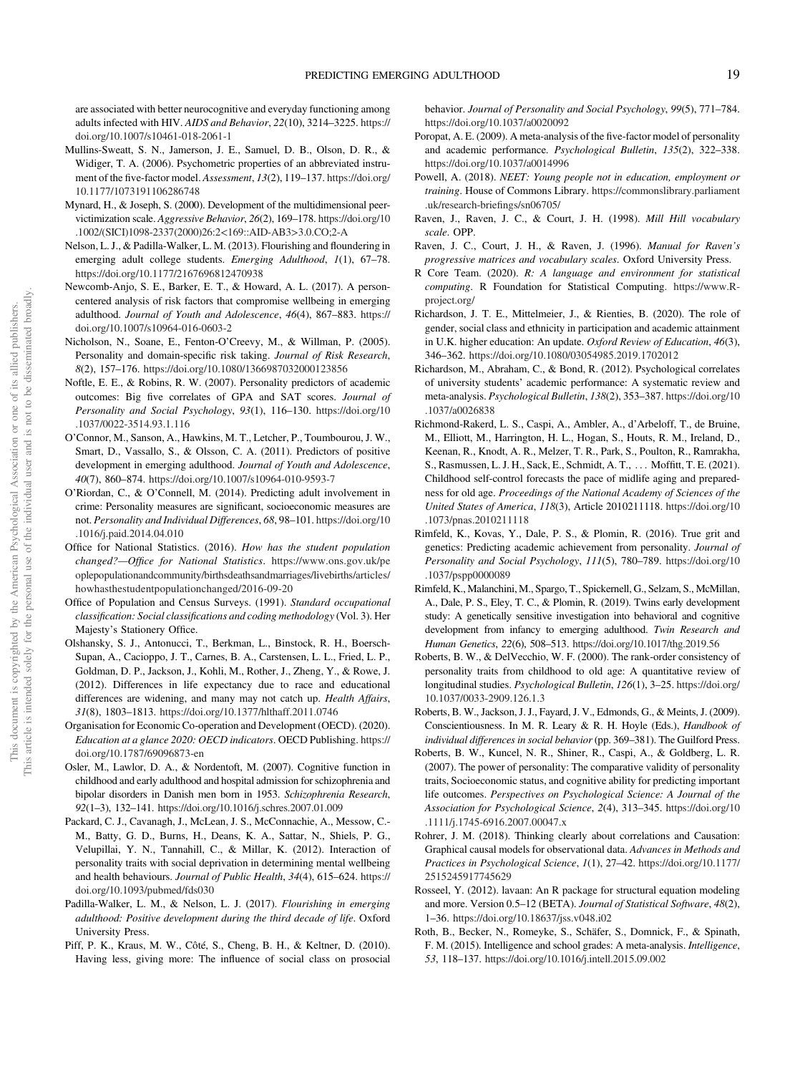are associated with better neurocognitive and everyday functioning among adults infected with HIV. AIDS and Behavior, 22(10), 3214–3225. https:// doi.org/10.1007/s10461-018-2061-1

- Mullins-Sweatt, S. N., Jamerson, J. E., Samuel, D. B., Olson, D. R., & Widiger, T. A. (2006). Psychometric properties of an abbreviated instrument of the five-factor model. Assessment, 13(2), 119–137. https://doi.org/ 10.1177/1073191106286748
- Mynard, H., & Joseph, S. (2000). Development of the multidimensional peervictimization scale. Aggressive Behavior, 26(2), 169–178. https://doi.org/10 .1002/(SICI)1098-2337(2000)26:2<169::AID-AB3>3.0.CO;2-A
- Nelson, L. J., & Padilla-Walker, L. M. (2013). Flourishing and floundering in emerging adult college students. Emerging Adulthood, 1(1), 67-78. https://doi.org/10.1177/2167696812470938
- Newcomb-Anjo, S. E., Barker, E. T., & Howard, A. L. (2017). A personcentered analysis of risk factors that compromise wellbeing in emerging adulthood. Journal of Youth and Adolescence, 46(4), 867–883. https:// doi.org/10.1007/s10964-016-0603-2
- Nicholson, N., Soane, E., Fenton-O'Creevy, M., & Willman, P. (2005). Personality and domain-specific risk taking. Journal of Risk Research, 8(2), 157–176. https://doi.org/10.1080/1366987032000123856
- Noftle, E. E., & Robins, R. W. (2007). Personality predictors of academic outcomes: Big five correlates of GPA and SAT scores. Journal of Personality and Social Psychology, 93(1), 116–130. https://doi.org/10 .1037/0022-3514.93.1.116
- O'Connor, M., Sanson, A., Hawkins, M. T., Letcher, P., Toumbourou, J. W., Smart, D., Vassallo, S., & Olsson, C. A. (2011). Predictors of positive development in emerging adulthood. Journal of Youth and Adolescence, 40(7), 860–874. https://doi.org/10.1007/s10964-010-9593-7
- O'Riordan, C., & O'Connell, M. (2014). Predicting adult involvement in crime: Personality measures are significant, socioeconomic measures are not. Personality and Individual Differences, 68, 98–101. https://doi.org/10 .1016/j.paid.2014.04.010
- Office for National Statistics. (2016). How has the student population changed?—Office for National Statistics. https://www.ons.gov.uk/pe oplepopulationandcommunity/birthsdeathsandmarriages/livebirths/articles/ howhasthestudentpopulationchanged/2016-09-20
- Office of Population and Census Surveys. (1991). Standard occupational classification: Social classifications and coding methodology (Vol. 3). Her Majesty's Stationery Office.
- Olshansky, S. J., Antonucci, T., Berkman, L., Binstock, R. H., Boersch-Supan, A., Cacioppo, J. T., Carnes, B. A., Carstensen, L. L., Fried, L. P., Goldman, D. P., Jackson, J., Kohli, M., Rother, J., Zheng, Y., & Rowe, J. (2012). Differences in life expectancy due to race and educational differences are widening, and many may not catch up. *Health Affairs*, 31(8), 1803–1813. https://doi.org/10.1377/hlthaff.2011.0746
- Organisation for Economic Co-operation and Development (OECD). (2020). Education at a glance 2020: OECD indicators. OECD Publishing. https:// doi.org/10.1787/69096873-en
- Osler, M., Lawlor, D. A., & Nordentoft, M. (2007). Cognitive function in childhood and early adulthood and hospital admission for schizophrenia and bipolar disorders in Danish men born in 1953. Schizophrenia Research, 92(1–3), 132–141. https://doi.org/10.1016/j.schres.2007.01.009
- Packard, C. J., Cavanagh, J., McLean, J. S., McConnachie, A., Messow, C.- M., Batty, G. D., Burns, H., Deans, K. A., Sattar, N., Shiels, P. G., Velupillai, Y. N., Tannahill, C., & Millar, K. (2012). Interaction of personality traits with social deprivation in determining mental wellbeing and health behaviours. Journal of Public Health, 34(4), 615–624. https:// doi.org/10.1093/pubmed/fds030
- Padilla-Walker, L. M., & Nelson, L. J. (2017). Flourishing in emerging adulthood: Positive development during the third decade of life. Oxford University Press.
- Piff, P. K., Kraus, M. W., Côté, S., Cheng, B. H., & Keltner, D. (2010). Having less, giving more: The influence of social class on prosocial

behavior. Journal of Personality and Social Psychology, 99(5), 771–784. https://doi.org/10.1037/a0020092

- Poropat, A. E. (2009). A meta-analysis of the five-factor model of personality and academic performance. Psychological Bulletin, 135(2), 322–338. https://doi.org/10.1037/a0014996
- Powell, A. (2018). NEET: Young people not in education, employment or training. House of Commons Library. https://commonslibrary.parliament .uk/research-briefings/sn06705/
- Raven, J., Raven, J. C., & Court, J. H. (1998). Mill Hill vocabulary scale. OPP.
- Raven, J. C., Court, J. H., & Raven, J. (1996). Manual for Raven's progressive matrices and vocabulary scales. Oxford University Press.
- R Core Team. (2020). R: A language and environment for statistical computing. R Foundation for Statistical Computing. https://www.Rproject.org/
- Richardson, J. T. E., Mittelmeier, J., & Rienties, B. (2020). The role of gender, social class and ethnicity in participation and academic attainment in U.K. higher education: An update. Oxford Review of Education, 46(3), 346–362. https://doi.org/10.1080/03054985.2019.1702012
- Richardson, M., Abraham, C., & Bond, R. (2012). Psychological correlates of university students' academic performance: A systematic review and meta-analysis. Psychological Bulletin, 138(2), 353–387. https://doi.org/10 .1037/a0026838
- Richmond-Rakerd, L. S., Caspi, A., Ambler, A., d'Arbeloff, T., de Bruine, M., Elliott, M., Harrington, H. L., Hogan, S., Houts, R. M., Ireland, D., Keenan, R., Knodt, A. R., Melzer, T. R., Park, S., Poulton, R., Ramrakha, S., Rasmussen, L. J. H., Sack, E., Schmidt, A. T., ::: Moffitt, T. E. (2021). Childhood self-control forecasts the pace of midlife aging and preparedness for old age. Proceedings of the National Academy of Sciences of the United States of America, 118(3), Article 2010211118. https://doi.org/10 .1073/pnas.2010211118
- Rimfeld, K., Kovas, Y., Dale, P. S., & Plomin, R. (2016). True grit and genetics: Predicting academic achievement from personality. Journal of Personality and Social Psychology, 111(5), 780–789. https://doi.org/10 .1037/pspp0000089
- Rimfeld, K., Malanchini, M., Spargo, T., Spickernell, G., Selzam, S., McMillan, A., Dale, P. S., Eley, T. C., & Plomin, R. (2019). Twins early development study: A genetically sensitive investigation into behavioral and cognitive development from infancy to emerging adulthood. Twin Research and Human Genetics, 22(6), 508–513. https://doi.org/10.1017/thg.2019.56
- Roberts, B. W., & DelVecchio, W. F. (2000). The rank-order consistency of personality traits from childhood to old age: A quantitative review of longitudinal studies. Psychological Bulletin, 126(1), 3–25. https://doi.org/ 10.1037/0033-2909.126.1.3
- Roberts, B. W., Jackson, J. J., Fayard, J. V., Edmonds, G., & Meints, J. (2009). Conscientiousness. In M. R. Leary & R. H. Hoyle (Eds.), Handbook of individual differences in social behavior (pp. 369-381). The Guilford Press.
- Roberts, B. W., Kuncel, N. R., Shiner, R., Caspi, A., & Goldberg, L. R. (2007). The power of personality: The comparative validity of personality traits, Socioeconomic status, and cognitive ability for predicting important life outcomes. Perspectives on Psychological Science: A Journal of the Association for Psychological Science, 2(4), 313–345. https://doi.org/10 .1111/j.1745-6916.2007.00047.x
- Rohrer, J. M. (2018). Thinking clearly about correlations and Causation: Graphical causal models for observational data. Advances in Methods and Practices in Psychological Science, 1(1), 27–42. https://doi.org/10.1177/ 2515245917745629
- Rosseel, Y. (2012). lavaan: An R package for structural equation modeling and more. Version 0.5–12 (BETA). Journal of Statistical Software, 48(2), 1–36. https://doi.org/10.18637/jss.v048.i02
- Roth, B., Becker, N., Romeyke, S., Schäfer, S., Domnick, F., & Spinath, F. M. (2015). Intelligence and school grades: A meta-analysis. Intelligence, 53, 118–137. https://doi.org/10.1016/j.intell.2015.09.002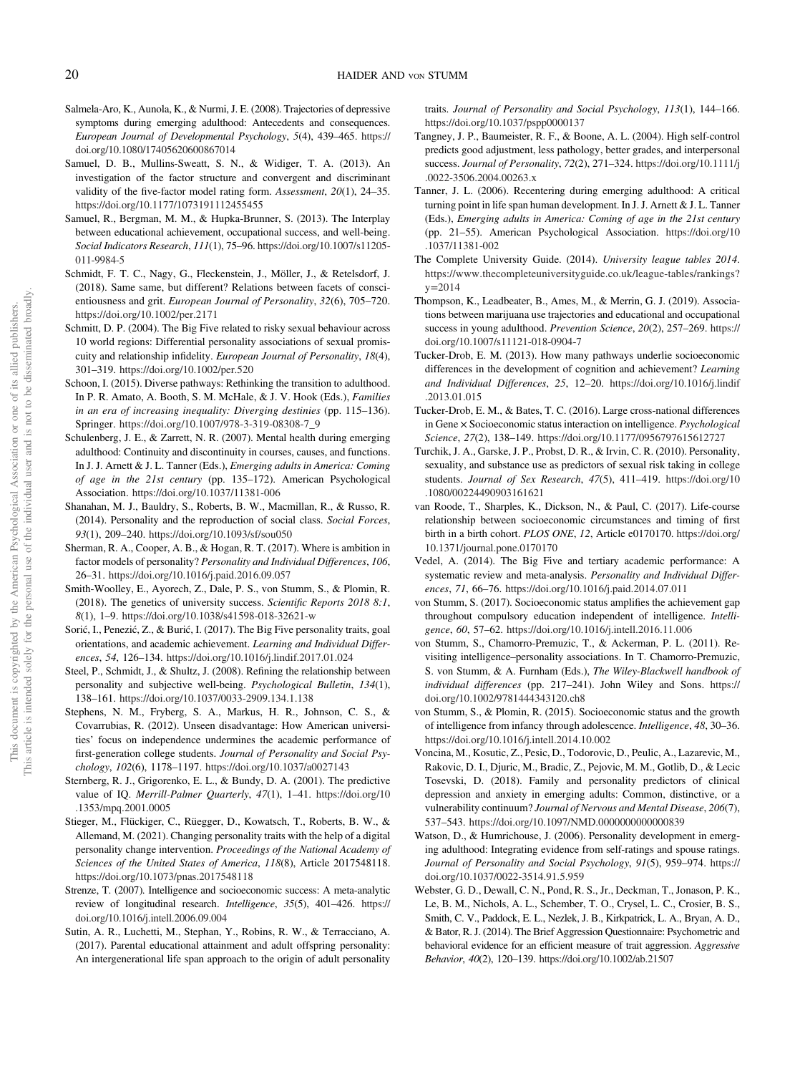- Salmela-Aro, K., Aunola, K., & Nurmi, J. E. (2008). Trajectories of depressive symptoms during emerging adulthood: Antecedents and consequences. European Journal of Developmental Psychology, 5(4), 439–465. https:// doi.org/10.1080/17405620600867014
- Samuel, D. B., Mullins-Sweatt, S. N., & Widiger, T. A. (2013). An investigation of the factor structure and convergent and discriminant validity of the five-factor model rating form. Assessment, 20(1), 24–35. https://doi.org/10.1177/1073191112455455
- Samuel, R., Bergman, M. M., & Hupka-Brunner, S. (2013). The Interplay between educational achievement, occupational success, and well-being. Social Indicators Research, 111(1), 75–96. https://doi.org/10.1007/s11205- 011-9984-5
- Schmidt, F. T. C., Nagy, G., Fleckenstein, J., Möller, J., & Retelsdorf, J. (2018). Same same, but different? Relations between facets of conscientiousness and grit. European Journal of Personality, 32(6), 705–720. https://doi.org/10.1002/per.2171
- Schmitt, D. P. (2004). The Big Five related to risky sexual behaviour across 10 world regions: Differential personality associations of sexual promiscuity and relationship infidelity. European Journal of Personality, 18(4), 301–319. https://doi.org/10.1002/per.520
- Schoon, I. (2015). Diverse pathways: Rethinking the transition to adulthood. In P. R. Amato, A. Booth, S. M. McHale, & J. V. Hook (Eds.), Families in an era of increasing inequality: Diverging destinies (pp. 115–136). Springer. https://doi.org/10.1007/978-3-319-08308-7\_9
- Schulenberg, J. E., & Zarrett, N. R. (2007). Mental health during emerging adulthood: Continuity and discontinuity in courses, causes, and functions. In J. J. Arnett & J. L. Tanner (Eds.), Emerging adults in America: Coming of age in the 21st century (pp. 135–172). American Psychological Association. https://doi.org/10.1037/11381-006
- Shanahan, M. J., Bauldry, S., Roberts, B. W., Macmillan, R., & Russo, R. (2014). Personality and the reproduction of social class. Social Forces, 93(1), 209–240. https://doi.org/10.1093/sf/sou050
- Sherman, R. A., Cooper, A. B., & Hogan, R. T. (2017). Where is ambition in factor models of personality? Personality and Individual Differences, 106, 26–31. https://doi.org/10.1016/j.paid.2016.09.057
- Smith-Woolley, E., Ayorech, Z., Dale, P. S., von Stumm, S., & Plomin, R. (2018). The genetics of university success. Scientific Reports 2018 8:1, 8(1), 1–9. https://doi.org/10.1038/s41598-018-32621-w
- Sorić, I., Penezić, Z., & Burić, I. (2017). The Big Five personality traits, goal orientations, and academic achievement. Learning and Individual Differences, 54, 126–134. https://doi.org/10.1016/j.lindif.2017.01.024
- Steel, P., Schmidt, J., & Shultz, J. (2008). Refining the relationship between personality and subjective well-being. Psychological Bulletin, 134(1), 138–161. https://doi.org/10.1037/0033-2909.134.1.138
- Stephens, N. M., Fryberg, S. A., Markus, H. R., Johnson, C. S., & Covarrubias, R. (2012). Unseen disadvantage: How American universities' focus on independence undermines the academic performance of first-generation college students. Journal of Personality and Social Psychology, 102(6), 1178–1197. https://doi.org/10.1037/a0027143
- Sternberg, R. J., Grigorenko, E. L., & Bundy, D. A. (2001). The predictive value of IQ. Merrill-Palmer Quarterly, 47(1), 1–41. https://doi.org/10 .1353/mpq.2001.0005
- Stieger, M., Flückiger, C., Rüegger, D., Kowatsch, T., Roberts, B. W., & Allemand, M. (2021). Changing personality traits with the help of a digital personality change intervention. Proceedings of the National Academy of Sciences of the United States of America, 118(8), Article 2017548118. https://doi.org/10.1073/pnas.2017548118
- Strenze, T. (2007). Intelligence and socioeconomic success: A meta-analytic review of longitudinal research. Intelligence, 35(5), 401–426. https:// doi.org/10.1016/j.intell.2006.09.004
- Sutin, A. R., Luchetti, M., Stephan, Y., Robins, R. W., & Terracciano, A. (2017). Parental educational attainment and adult offspring personality: An intergenerational life span approach to the origin of adult personality

traits. Journal of Personality and Social Psychology, 113(1), 144–166. https://doi.org/10.1037/pspp0000137

- Tangney, J. P., Baumeister, R. F., & Boone, A. L. (2004). High self-control predicts good adjustment, less pathology, better grades, and interpersonal success. Journal of Personality, 72(2), 271–324. https://doi.org/10.1111/j .0022-3506.2004.00263.x
- Tanner, J. L. (2006). Recentering during emerging adulthood: A critical turning point in life span human development. In J. J. Arnett & J. L. Tanner (Eds.), Emerging adults in America: Coming of age in the 21st century (pp. 21–55). American Psychological Association. https://doi.org/10 .1037/11381-002
- The Complete University Guide. (2014). University league tables 2014. https://www.thecompleteuniversityguide.co.uk/league-tables/rankings?  $v = 2014$
- Thompson, K., Leadbeater, B., Ames, M., & Merrin, G. J. (2019). Associations between marijuana use trajectories and educational and occupational success in young adulthood. Prevention Science, 20(2), 257–269. https:// doi.org/10.1007/s11121-018-0904-7
- Tucker-Drob, E. M. (2013). How many pathways underlie socioeconomic differences in the development of cognition and achievement? Learning and Individual Differences, 25, 12–20. https://doi.org/10.1016/j.lindif .2013.01.015
- Tucker-Drob, E. M., & Bates, T. C. (2016). Large cross-national differences in Gene × Socioeconomic status interaction on intelligence. Psychological Science, 27(2), 138–149. https://doi.org/10.1177/0956797615612727
- Turchik, J. A., Garske, J. P., Probst, D. R., & Irvin, C. R. (2010). Personality, sexuality, and substance use as predictors of sexual risk taking in college students. Journal of Sex Research, 47(5), 411–419. https://doi.org/10 .1080/00224490903161621
- van Roode, T., Sharples, K., Dickson, N., & Paul, C. (2017). Life-course relationship between socioeconomic circumstances and timing of first birth in a birth cohort. PLOS ONE, 12, Article e0170170. https://doi.org/ 10.1371/journal.pone.0170170
- Vedel, A. (2014). The Big Five and tertiary academic performance: A systematic review and meta-analysis. Personality and Individual Differences, 71, 66–76. https://doi.org/10.1016/j.paid.2014.07.011
- von Stumm, S. (2017). Socioeconomic status amplifies the achievement gap throughout compulsory education independent of intelligence. *Intelli*gence, 60, 57–62. https://doi.org/10.1016/j.intell.2016.11.006
- von Stumm, S., Chamorro-Premuzic, T., & Ackerman, P. L. (2011). Revisiting intelligence–personality associations. In T. Chamorro-Premuzic, S. von Stumm, & A. Furnham (Eds.), The Wiley-Blackwell handbook of individual differences (pp. 217–241). John Wiley and Sons. https:// doi.org/10.1002/9781444343120.ch8
- von Stumm, S., & Plomin, R. (2015). Socioeconomic status and the growth of intelligence from infancy through adolescence. Intelligence, 48, 30–36. https://doi.org/10.1016/j.intell.2014.10.002
- Voncina, M., Kosutic, Z., Pesic, D., Todorovic, D., Peulic, A., Lazarevic, M., Rakovic, D. I., Djuric, M., Bradic, Z., Pejovic, M. M., Gotlib, D., & Lecic Tosevski, D. (2018). Family and personality predictors of clinical depression and anxiety in emerging adults: Common, distinctive, or a vulnerability continuum? Journal of Nervous and Mental Disease, 206(7), 537–543. https://doi.org/10.1097/NMD.0000000000000839
- Watson, D., & Humrichouse, J. (2006). Personality development in emerging adulthood: Integrating evidence from self-ratings and spouse ratings. Journal of Personality and Social Psychology, 91(5), 959–974. https:// doi.org/10.1037/0022-3514.91.5.959
- Webster, G. D., Dewall, C. N., Pond, R. S., Jr., Deckman, T., Jonason, P. K., Le, B. M., Nichols, A. L., Schember, T. O., Crysel, L. C., Crosier, B. S., Smith, C. V., Paddock, E. L., Nezlek, J. B., Kirkpatrick, L. A., Bryan, A. D., & Bator, R. J. (2014). The Brief Aggression Questionnaire: Psychometric and behavioral evidence for an efficient measure of trait aggression. Aggressive Behavior, 40(2), 120–139. https://doi.org/10.1002/ab.21507